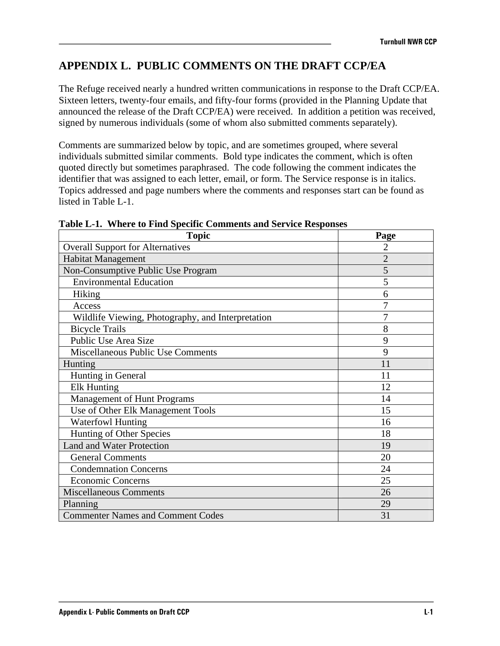# **APPENDIX L. PUBLIC COMMENTS ON THE DRAFT CCP/EA**

The Refuge received nearly a hundred written communications in response to the Draft CCP/EA. Sixteen letters, twenty-four emails, and fifty-four forms (provided in the Planning Update that announced the release of the Draft CCP/EA) were received. In addition a petition was received, signed by numerous individuals (some of whom also submitted comments separately).

Comments are summarized below by topic, and are sometimes grouped, where several individuals submitted similar comments. Bold type indicates the comment, which is often quoted directly but sometimes paraphrased. The code following the comment indicates the identifier that was assigned to each letter, email, or form. The Service response is in italics. Topics addressed and page numbers where the comments and responses start can be found as listed in Table L-1.

| <b>Topic</b>                                      | Page           |
|---------------------------------------------------|----------------|
| <b>Overall Support for Alternatives</b>           | 2              |
| <b>Habitat Management</b>                         | $\overline{2}$ |
| Non-Consumptive Public Use Program                | 5              |
| <b>Environmental Education</b>                    | 5              |
| Hiking                                            | 6              |
| Access                                            | 7              |
| Wildlife Viewing, Photography, and Interpretation | 7              |
| <b>Bicycle Trails</b>                             | 8              |
| Public Use Area Size                              | 9              |
| <b>Miscellaneous Public Use Comments</b>          | 9              |
| Hunting                                           | 11             |
| Hunting in General                                | 11             |
| <b>Elk Hunting</b>                                | 12             |
| <b>Management of Hunt Programs</b>                | 14             |
| Use of Other Elk Management Tools                 | 15             |
| <b>Waterfowl Hunting</b>                          | 16             |
| Hunting of Other Species                          | 18             |
| <b>Land and Water Protection</b>                  | 19             |
| <b>General Comments</b>                           | 20             |
| <b>Condemnation Concerns</b>                      | 24             |
| <b>Economic Concerns</b>                          | 25             |
| <b>Miscellaneous Comments</b>                     | 26             |
| Planning                                          | 29             |
| <b>Commenter Names and Comment Codes</b>          | 31             |

| Table L-1. Where to Find Specific Comments and Service Responses |  |
|------------------------------------------------------------------|--|
|------------------------------------------------------------------|--|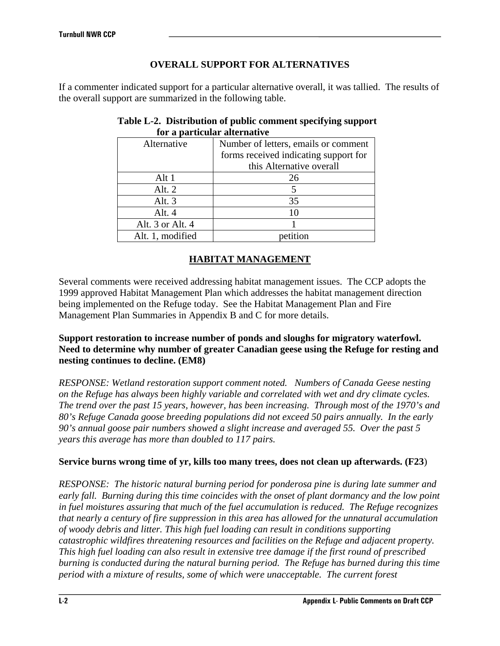# **OVERALL SUPPORT FOR ALTERNATIVES**

If a commenter indicated support for a particular alternative overall, it was tallied. The results of the overall support are summarized in the following table.

| Alternative      | Number of letters, emails or comment  |  |
|------------------|---------------------------------------|--|
|                  | forms received indicating support for |  |
|                  | this Alternative overall              |  |
| Alt 1            | 26                                    |  |
| Alt. $2$         |                                       |  |
| Alt. $3$         | 35                                    |  |
| Alt. 4           |                                       |  |
| Alt. 3 or Alt. 4 |                                       |  |
| Alt. 1, modified |                                       |  |

### **Table L-2. Distribution of public comment specifying support for a particular alternative**

# **HABITAT MANAGEMENT**

Several comments were received addressing habitat management issues. The CCP adopts the 1999 approved Habitat Management Plan which addresses the habitat management direction being implemented on the Refuge today. See the Habitat Management Plan and Fire Management Plan Summaries in Appendix B and C for more details.

### **Support restoration to increase number of ponds and sloughs for migratory waterfowl. Need to determine why number of greater Canadian geese using the Refuge for resting and nesting continues to decline. (EM8)**

*RESPONSE: Wetland restoration support comment noted. Numbers of Canada Geese nesting on the Refuge has always been highly variable and correlated with wet and dry climate cycles. The trend over the past 15 years, however, has been increasing. Through most of the 1970's and 80's Refuge Canada goose breeding populations did not exceed 50 pairs annually. In the early 90's annual goose pair numbers showed a slight increase and averaged 55. Over the past 5 years this average has more than doubled to 117 pairs.* 

### **Service burns wrong time of yr, kills too many trees, does not clean up afterwards. (F23**)

*RESPONSE: The historic natural burning period for ponderosa pine is during late summer and early fall. Burning during this time coincides with the onset of plant dormancy and the low point in fuel moistures assuring that much of the fuel accumulation is reduced. The Refuge recognizes that nearly a century of fire suppression in this area has allowed for the unnatural accumulation of woody debris and litter. This high fuel loading can result in conditions supporting catastrophic wildfires threatening resources and facilities on the Refuge and adjacent property. This high fuel loading can also result in extensive tree damage if the first round of prescribed burning is conducted during the natural burning period. The Refuge has burned during this time period with a mixture of results, some of which were unacceptable. The current forest*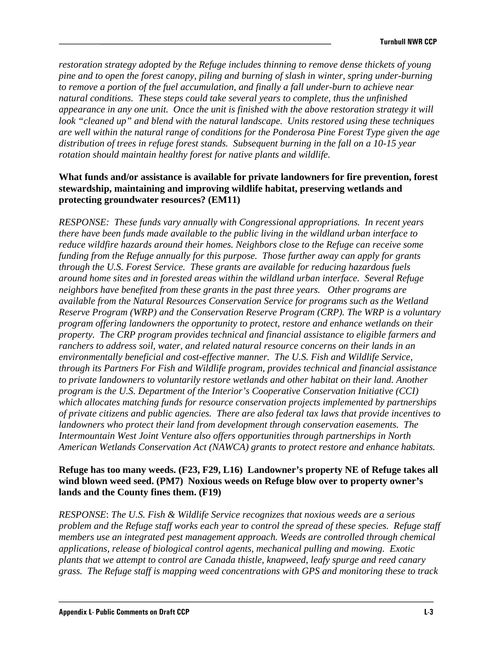*restoration strategy adopted by the Refuge includes thinning to remove dense thickets of young pine and to open the forest canopy, piling and burning of slash in winter, spring under-burning to remove a portion of the fuel accumulation, and finally a fall under-burn to achieve near natural conditions. These steps could take several years to complete, thus the unfinished appearance in any one unit. Once the unit is finished with the above restoration strategy it will look "cleaned up" and blend with the natural landscape. Units restored using these techniques are well within the natural range of conditions for the Ponderosa Pine Forest Type given the age distribution of trees in refuge forest stands. Subsequent burning in the fall on a 10-15 year rotation should maintain healthy forest for native plants and wildlife.* 

### **What funds and/or assistance is available for private landowners for fire prevention, forest stewardship, maintaining and improving wildlife habitat, preserving wetlands and protecting groundwater resources? (EM11)**

*RESPONSE: These funds vary annually with Congressional appropriations. In recent years there have been funds made available to the public living in the wildland urban interface to reduce wildfire hazards around their homes. Neighbors close to the Refuge can receive some funding from the Refuge annually for this purpose. Those further away can apply for grants through the U.S. Forest Service. These grants are available for reducing hazardous fuels around home sites and in forested areas within the wildland urban interface. Several Refuge neighbors have benefited from these grants in the past three years. Other programs are available from the Natural Resources Conservation Service for programs such as the Wetland Reserve Program (WRP) and the Conservation Reserve Program (CRP). The WRP is a voluntary program offering landowners the opportunity to protect, restore and enhance wetlands on their property. The CRP program provides technical and financial assistance to eligible farmers and ranchers to address soil, water, and related natural resource concerns on their lands in an environmentally beneficial and cost-effective manner. The U.S. Fish and Wildlife Service, through its Partners For Fish and Wildlife program, provides technical and financial assistance to private landowners to voluntarily restore wetlands and other habitat on their land. Another program is the U.S. Department of the Interior's Cooperative Conservation Initiative (CCI) which allocates matching funds for resource conservation projects implemented by partnerships of private citizens and public agencies. There are also federal tax laws that provide incentives to landowners who protect their land from development through conservation easements. The Intermountain West Joint Venture also offers opportunities through partnerships in North American Wetlands Conservation Act (NAWCA) grants to protect restore and enhance habitats.* 

#### **Refuge has too many weeds. (F23, F29, L16) Landowner's property NE of Refuge takes all wind blown weed seed. (PM7) Noxious weeds on Refuge blow over to property owner's lands and the County fines them. (F19)**

*RESPONSE*: *The U.S. Fish & Wildlife Service recognizes that noxious weeds are a serious problem and the Refuge staff works each year to control the spread of these species. Refuge staff members use an integrated pest management approach. Weeds are controlled through chemical applications, release of biological control agents, mechanical pulling and mowing. Exotic plants that we attempt to control are Canada thistle, knapweed, leafy spurge and reed canary grass. The Refuge staff is mapping weed concentrations with GPS and monitoring these to track*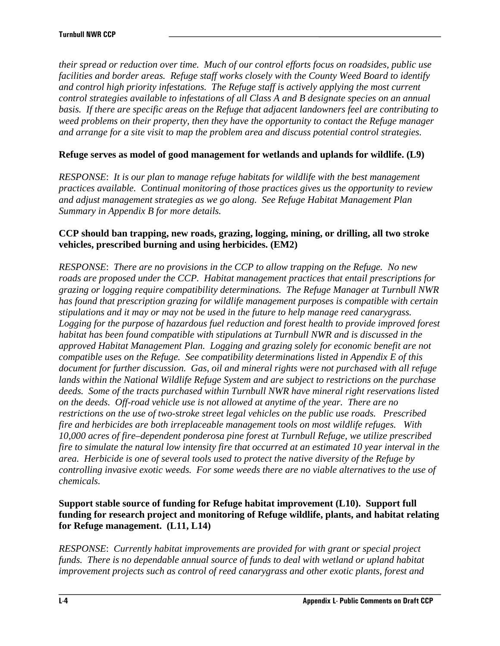*their spread or reduction over time. Much of our control efforts focus on roadsides, public use facilities and border areas. Refuge staff works closely with the County Weed Board to identify and control high priority infestations. The Refuge staff is actively applying the most current control strategies available to infestations of all Class A and B designate species on an annual basis. If there are specific areas on the Refuge that adjacent landowners feel are contributing to weed problems on their property, then they have the opportunity to contact the Refuge manager and arrange for a site visit to map the problem area and discuss potential control strategies.* 

### **Refuge serves as model of good management for wetlands and uplands for wildlife. (L9)**

*RESPONSE*: *It is our plan to manage refuge habitats for wildlife with the best management practices available. Continual monitoring of those practices gives us the opportunity to review and adjust management strategies as we go along. See Refuge Habitat Management Plan Summary in Appendix B for more details.* 

#### **CCP should ban trapping, new roads, grazing, logging, mining, or drilling, all two stroke vehicles, prescribed burning and using herbicides. (EM2)**

*RESPONSE*: *There are no provisions in the CCP to allow trapping on the Refuge. No new roads are proposed under the CCP. Habitat management practices that entail prescriptions for grazing or logging require compatibility determinations. The Refuge Manager at Turnbull NWR has found that prescription grazing for wildlife management purposes is compatible with certain stipulations and it may or may not be used in the future to help manage reed canarygrass.*  Logging for the purpose of hazardous fuel reduction and forest health to provide improved forest *habitat has been found compatible with stipulations at Turnbull NWR and is discussed in the approved Habitat Management Plan. Logging and grazing solely for economic benefit are not compatible uses on the Refuge. See compatibility determinations listed in Appendix E of this document for further discussion. Gas, oil and mineral rights were not purchased with all refuge lands within the National Wildlife Refuge System and are subject to restrictions on the purchase deeds. Some of the tracts purchased within Turnbull NWR have mineral right reservations listed on the deeds. Off-road vehicle use is not allowed at anytime of the year. There are no restrictions on the use of two-stroke street legal vehicles on the public use roads. Prescribed fire and herbicides are both irreplaceable management tools on most wildlife refuges. With 10,000 acres of fire–dependent ponderosa pine forest at Turnbull Refuge, we utilize prescribed fire to simulate the natural low intensity fire that occurred at an estimated 10 year interval in the area. Herbicide is one of several tools used to protect the native diversity of the Refuge by controlling invasive exotic weeds. For some weeds there are no viable alternatives to the use of chemicals.* 

### **Support stable source of funding for Refuge habitat improvement (L10). Support full funding for research project and monitoring of Refuge wildlife, plants, and habitat relating for Refuge management. (L11, L14)**

*RESPONSE*: *Currently habitat improvements are provided for with grant or special project funds. There is no dependable annual source of funds to deal with wetland or upland habitat improvement projects such as control of reed canarygrass and other exotic plants, forest and*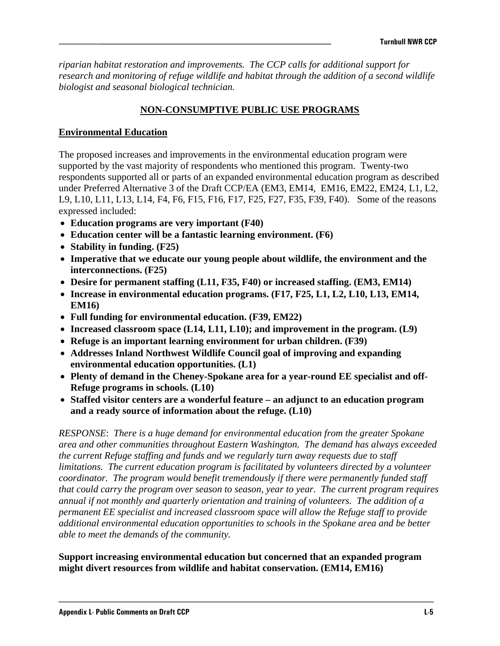*riparian habitat restoration and improvements. The CCP calls for additional support for research and monitoring of refuge wildlife and habitat through the addition of a second wildlife biologist and seasonal biological technician.* 

## **NON-CONSUMPTIVE PUBLIC USE PROGRAMS**

### **Environmental Education**

The proposed increases and improvements in the environmental education program were supported by the vast majority of respondents who mentioned this program. Twenty-two respondents supported all or parts of an expanded environmental education program as described under Preferred Alternative 3 of the Draft CCP/EA (EM3, EM14, EM16, EM22, EM24, L1, L2, L9, L10, L11, L13, L14, F4, F6, F15, F16, F17, F25, F27, F35, F39, F40). Some of the reasons expressed included:

- **Education programs are very important (F40)**
- **Education center will be a fantastic learning environment. (F6)**
- **Stability in funding. (F25)**
- **Imperative that we educate our young people about wildlife, the environment and the interconnections. (F25)**
- **Desire for permanent staffing (L11, F35, F40) or increased staffing. (EM3, EM14)**
- **Increase in environmental education programs. (F17, F25, L1, L2, L10, L13, EM14, EM16)**
- **Full funding for environmental education. (F39, EM22)**
- **Increased classroom space (L14, L11, L10); and improvement in the program. (L9)**
- **Refuge is an important learning environment for urban children. (F39)**
- **Addresses Inland Northwest Wildlife Council goal of improving and expanding environmental education opportunities. (L1)**
- **Plenty of demand in the Cheney-Spokane area for a year-round EE specialist and off-Refuge programs in schools. (L10)**
- **Staffed visitor centers are a wonderful feature an adjunct to an education program and a ready source of information about the refuge. (L10)**

*RESPONSE*: *There is a huge demand for environmental education from the greater Spokane area and other communities throughout Eastern Washington. The demand has always exceeded the current Refuge staffing and funds and we regularly turn away requests due to staff limitations. The current education program is facilitated by volunteers directed by a volunteer coordinator. The program would benefit tremendously if there were permanently funded staff that could carry the program over season to season, year to year. The current program requires annual if not monthly and quarterly orientation and training of volunteers. The addition of a permanent EE specialist and increased classroom space will allow the Refuge staff to provide additional environmental education opportunities to schools in the Spokane area and be better able to meet the demands of the community.* 

#### **Support increasing environmental education but concerned that an expanded program might divert resources from wildlife and habitat conservation. (EM14, EM16)**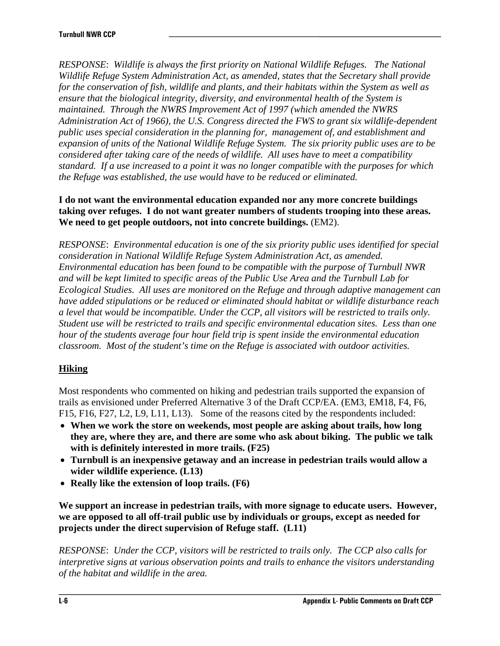*RESPONSE*: *Wildlife is always the first priority on National Wildlife Refuges. The National Wildlife Refuge System Administration Act, as amended, states that the Secretary shall provide for the conservation of fish, wildlife and plants, and their habitats within the System as well as ensure that the biological integrity, diversity, and environmental health of the System is maintained. Through the NWRS Improvement Act of 1997 (which amended the NWRS Administration Act of 1966), the U.S. Congress directed the FWS to grant six wildlife-dependent public uses special consideration in the planning for, management of, and establishment and expansion of units of the National Wildlife Refuge System. The six priority public uses are to be considered after taking care of the needs of wildlife. All uses have to meet a compatibility standard. If a use increased to a point it was no longer compatible with the purposes for which the Refuge was established, the use would have to be reduced or eliminated.* 

### **I do not want the environmental education expanded nor any more concrete buildings taking over refuges. I do not want greater numbers of students trooping into these areas. We need to get people outdoors, not into concrete buildings.** (EM2).

*RESPONSE*: *Environmental education is one of the six priority public uses identified for special consideration in National Wildlife Refuge System Administration Act, as amended. Environmental education has been found to be compatible with the purpose of Turnbull NWR and will be kept limited to specific areas of the Public Use Area and the Turnbull Lab for Ecological Studies. All uses are monitored on the Refuge and through adaptive management can have added stipulations or be reduced or eliminated should habitat or wildlife disturbance reach a level that would be incompatible. Under the CCP, all visitors will be restricted to trails only. Student use will be restricted to trails and specific environmental education sites. Less than one hour of the students average four hour field trip is spent inside the environmental education classroom. Most of the student's time on the Refuge is associated with outdoor activities.* 

# **Hiking**

Most respondents who commented on hiking and pedestrian trails supported the expansion of trails as envisioned under Preferred Alternative 3 of the Draft CCP/EA. (EM3, EM18, F4, F6, F15, F16, F27, L2, L9, L11, L13). Some of the reasons cited by the respondents included:

- **When we work the store on weekends, most people are asking about trails, how long they are, where they are, and there are some who ask about biking. The public we talk with is definitely interested in more trails. (F25)**
- **Turnbull is an inexpensive getaway and an increase in pedestrian trails would allow a wider wildlife experience. (L13)**
- **Really like the extension of loop trails. (F6)**

**We support an increase in pedestrian trails, with more signage to educate users. However, we are opposed to all off-trail public use by individuals or groups, except as needed for projects under the direct supervision of Refuge staff. (L11)** 

*RESPONSE*: *Under the CCP, visitors will be restricted to trails only. The CCP also calls for interpretive signs at various observation points and trails to enhance the visitors understanding of the habitat and wildlife in the area.*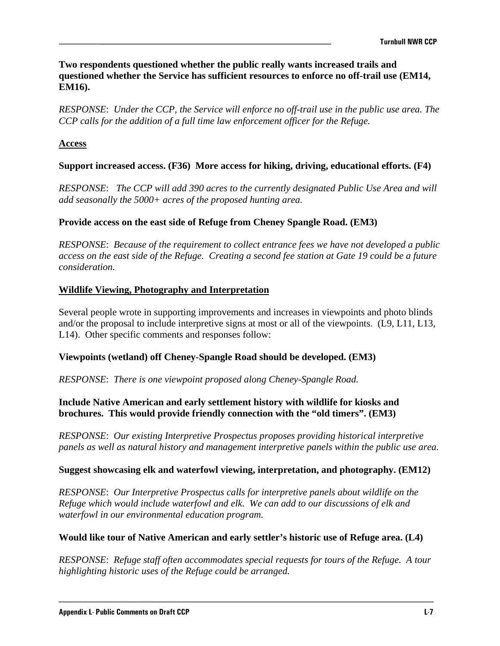**Two respondents questioned whether the public really wants increased trails and questioned whether the Service has sufficient resources to enforce no off-trail use (EM14, EM16).**

*RESPONSE*: *Under the CCP, the Service will enforce no off-trail use in the public use area. The CCP calls for the addition of a full time law enforcement officer for the Refuge.* 

#### **Access**

#### **Support increased access. (F36) More access for hiking, driving, educational efforts. (F4)**

*RESPONSE*: *The CCP will add 390 acres to the currently designated Public Use Area and will add seasonally the 5000+ acres of the proposed hunting area.* 

### **Provide access on the east side of Refuge from Cheney Spangle Road. (EM3)**

*RESPONSE*: *Because of the requirement to collect entrance fees we have not developed a public access on the east side of the Refuge. Creating a second fee station at Gate 19 could be a future consideration.*

#### **Wildlife Viewing, Photography and Interpretation**

Several people wrote in supporting improvements and increases in viewpoints and photo blinds and/or the proposal to include interpretive signs at most or all of the viewpoints. (L9, L11, L13, L14). Other specific comments and responses follow:

#### **Viewpoints (wetland) off Cheney-Spangle Road should be developed. (EM3)**

*RESPONSE*: *There is one viewpoint proposed along Cheney-Spangle Road.* 

### **Include Native American and early settlement history with wildlife for kiosks and brochures. This would provide friendly connection with the "old timers". (EM3)**

*RESPONSE*: *Our existing Interpretive Prospectus proposes providing historical interpretive panels as well as natural history and management interpretive panels within the public use area.* 

#### **Suggest showcasing elk and waterfowl viewing, interpretation, and photography. (EM12)**

*RESPONSE*: *Our Interpretive Prospectus calls for interpretive panels about wildlife on the Refuge which would include waterfowl and elk. We can add to our discussions of elk and waterfowl in our environmental education program.*

#### **Would like tour of Native American and early settler's historic use of Refuge area. (L4)**

*RESPONSE*: *Refuge staff often accommodates special requests for tours of the Refuge. A tour highlighting historic uses of the Refuge could be arranged.*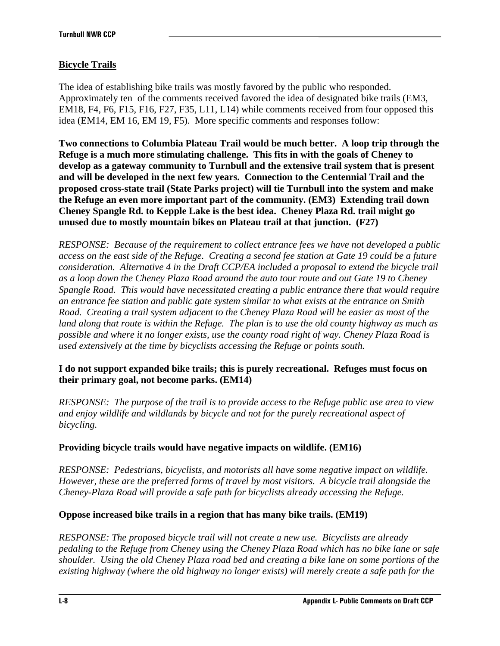# **Bicycle Trails**

The idea of establishing bike trails was mostly favored by the public who responded. Approximately ten of the comments received favored the idea of designated bike trails (EM3, EM18, F4, F6, F15, F16, F27, F35, L11, L14) while comments received from four opposed this idea (EM14, EM 16, EM 19, F5). More specific comments and responses follow:

**Two connections to Columbia Plateau Trail would be much better. A loop trip through the Refuge is a much more stimulating challenge. This fits in with the goals of Cheney to develop as a gateway community to Turnbull and the extensive trail system that is present and will be developed in the next few years. Connection to the Centennial Trail and the proposed cross-state trail (State Parks project) will tie Turnbull into the system and make the Refuge an even more important part of the community. (EM3) Extending trail down Cheney Spangle Rd. to Kepple Lake is the best idea. Cheney Plaza Rd. trail might go unused due to mostly mountain bikes on Plateau trail at that junction. (F27)** 

*RESPONSE: Because of the requirement to collect entrance fees we have not developed a public access on the east side of the Refuge. Creating a second fee station at Gate 19 could be a future consideration. Alternative 4 in the Draft CCP/EA included a proposal to extend the bicycle trail as a loop down the Cheney Plaza Road around the auto tour route and out Gate 19 to Cheney Spangle Road. This would have necessitated creating a public entrance there that would require an entrance fee station and public gate system similar to what exists at the entrance on Smith Road. Creating a trail system adjacent to the Cheney Plaza Road will be easier as most of the land along that route is within the Refuge. The plan is to use the old county highway as much as possible and where it no longer exists, use the county road right of way. Cheney Plaza Road is used extensively at the time by bicyclists accessing the Refuge or points south.* 

### **I do not support expanded bike trails; this is purely recreational. Refuges must focus on their primary goal, not become parks. (EM14)**

*RESPONSE: The purpose of the trail is to provide access to the Refuge public use area to view and enjoy wildlife and wildlands by bicycle and not for the purely recreational aspect of bicycling.* 

### **Providing bicycle trails would have negative impacts on wildlife. (EM16)**

*RESPONSE: Pedestrians, bicyclists, and motorists all have some negative impact on wildlife. However, these are the preferred forms of travel by most visitors. A bicycle trail alongside the Cheney-Plaza Road will provide a safe path for bicyclists already accessing the Refuge.* 

### **Oppose increased bike trails in a region that has many bike trails. (EM19)**

*RESPONSE: The proposed bicycle trail will not create a new use. Bicyclists are already pedaling to the Refuge from Cheney using the Cheney Plaza Road which has no bike lane or safe shoulder. Using the old Cheney Plaza road bed and creating a bike lane on some portions of the existing highway (where the old highway no longer exists) will merely create a safe path for the*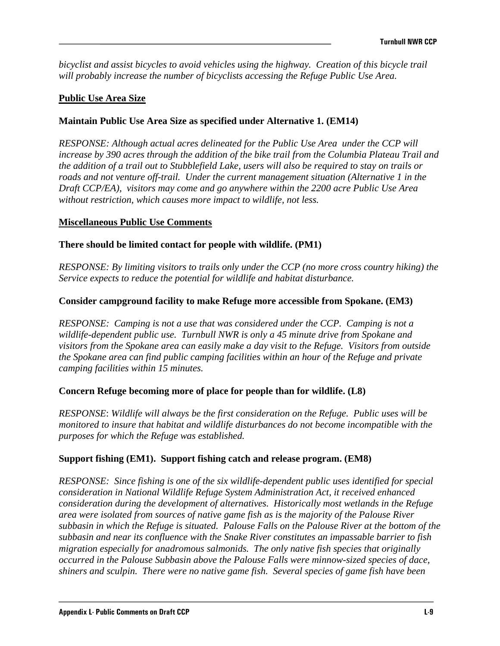*bicyclist and assist bicycles to avoid vehicles using the highway. Creation of this bicycle trail will probably increase the number of bicyclists accessing the Refuge Public Use Area.* 

### **Public Use Area Size**

### **Maintain Public Use Area Size as specified under Alternative 1. (EM14)**

*RESPONSE: Although actual acres delineated for the Public Use Area under the CCP will increase by 390 acres through the addition of the bike trail from the Columbia Plateau Trail and the addition of a trail out to Stubblefield Lake, users will also be required to stay on trails or roads and not venture off-trail. Under the current management situation (Alternative 1 in the Draft CCP/EA), visitors may come and go anywhere within the 2200 acre Public Use Area without restriction, which causes more impact to wildlife, not less.* 

#### **Miscellaneous Public Use Comments**

### **There should be limited contact for people with wildlife. (PM1)**

*RESPONSE: By limiting visitors to trails only under the CCP (no more cross country hiking) the Service expects to reduce the potential for wildlife and habitat disturbance.* 

### **Consider campground facility to make Refuge more accessible from Spokane. (EM3)**

*RESPONSE: Camping is not a use that was considered under the CCP. Camping is not a wildlife-dependent public use. Turnbull NWR is only a 45 minute drive from Spokane and visitors from the Spokane area can easily make a day visit to the Refuge. Visitors from outside the Spokane area can find public camping facilities within an hour of the Refuge and private camping facilities within 15 minutes.* 

#### **Concern Refuge becoming more of place for people than for wildlife. (L8)**

*RESPONSE*: *Wildlife will always be the first consideration on the Refuge. Public uses will be monitored to insure that habitat and wildlife disturbances do not become incompatible with the purposes for which the Refuge was established.* 

#### **Support fishing (EM1). Support fishing catch and release program. (EM8)**

*RESPONSE: Since fishing is one of the six wildlife-dependent public uses identified for special consideration in National Wildlife Refuge System Administration Act, it received enhanced consideration during the development of alternatives. Historically most wetlands in the Refuge area were isolated from sources of native game fish as is the majority of the Palouse River subbasin in which the Refuge is situated. Palouse Falls on the Palouse River at the bottom of the subbasin and near its confluence with the Snake River constitutes an impassable barrier to fish migration especially for anadromous salmonids. The only native fish species that originally occurred in the Palouse Subbasin above the Palouse Falls were minnow-sized species of dace, shiners and sculpin. There were no native game fish. Several species of game fish have been*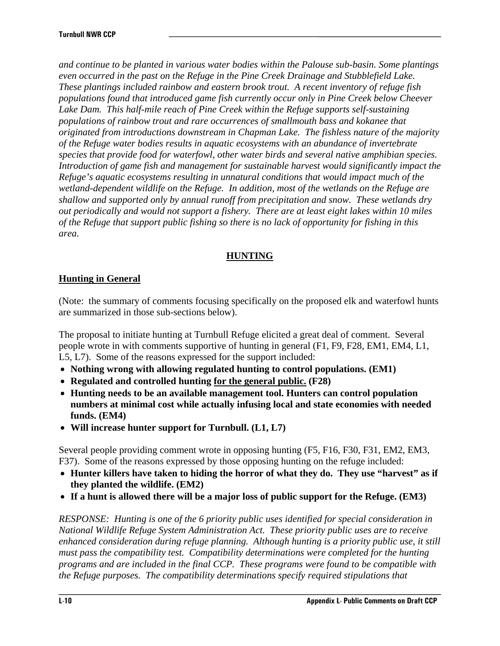*and continue to be planted in various water bodies within the Palouse sub-basin. Some plantings even occurred in the past on the Refuge in the Pine Creek Drainage and Stubblefield Lake. These plantings included rainbow and eastern brook trout. A recent inventory of refuge fish populations found that introduced game fish currently occur only in Pine Creek below Cheever Lake Dam. This half-mile reach of Pine Creek within the Refuge supports self-sustaining populations of rainbow trout and rare occurrences of smallmouth bass and kokanee that originated from introductions downstream in Chapman Lake. The fishless nature of the majority of the Refuge water bodies results in aquatic ecosystems with an abundance of invertebrate species that provide food for waterfowl, other water birds and several native amphibian species. Introduction of game fish and management for sustainable harvest would significantly impact the Refuge's aquatic ecosystems resulting in unnatural conditions that would impact much of the wetland-dependent wildlife on the Refuge. In addition, most of the wetlands on the Refuge are shallow and supported only by annual runoff from precipitation and snow. These wetlands dry out periodically and would not support a fishery. There are at least eight lakes within 10 miles of the Refuge that support public fishing so there is no lack of opportunity for fishing in this area.* 

### **HUNTING**

## **Hunting in General**

(Note: the summary of comments focusing specifically on the proposed elk and waterfowl hunts are summarized in those sub-sections below).

The proposal to initiate hunting at Turnbull Refuge elicited a great deal of comment. Several people wrote in with comments supportive of hunting in general (F1, F9, F28, EM1, EM4, L1, L5, L7). Some of the reasons expressed for the support included:

- **Nothing wrong with allowing regulated hunting to control populations. (EM1)**
- **Regulated and controlled hunting for the general public. (F28)**
- **Hunting needs to be an available management tool. Hunters can control population numbers at minimal cost while actually infusing local and state economies with needed funds. (EM4)**
- **Will increase hunter support for Turnbull. (L1, L7)**

Several people providing comment wrote in opposing hunting (F5, F16, F30, F31, EM2, EM3, F37). Some of the reasons expressed by those opposing hunting on the refuge included:

- **Hunter killers have taken to hiding the horror of what they do. They use "harvest" as if they planted the wildlife. (EM2)**
- **If a hunt is allowed there will be a major loss of public support for the Refuge. (EM3)**

*RESPONSE: Hunting is one of the 6 priority public uses identified for special consideration in National Wildlife Refuge System Administration Act. These priority public uses are to receive enhanced consideration during refuge planning. Although hunting is a priority public use, it still must pass the compatibility test. Compatibility determinations were completed for the hunting programs and are included in the final CCP. These programs were found to be compatible with the Refuge purposes. The compatibility determinations specify required stipulations that*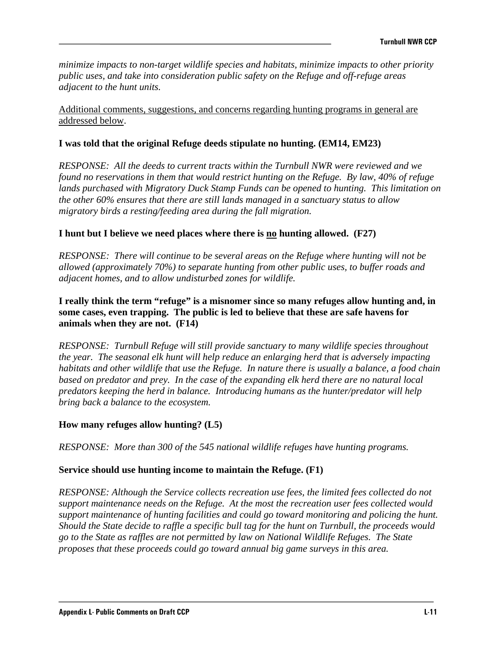*minimize impacts to non-target wildlife species and habitats, minimize impacts to other priority public uses, and take into consideration public safety on the Refuge and off-refuge areas adjacent to the hunt units.* 

Additional comments, suggestions, and concerns regarding hunting programs in general are addressed below.

#### **I was told that the original Refuge deeds stipulate no hunting. (EM14, EM23)**

*RESPONSE: All the deeds to current tracts within the Turnbull NWR were reviewed and we found no reservations in them that would restrict hunting on the Refuge. By law, 40% of refuge lands purchased with Migratory Duck Stamp Funds can be opened to hunting. This limitation on the other 60% ensures that there are still lands managed in a sanctuary status to allow migratory birds a resting/feeding area during the fall migration.*

### **I hunt but I believe we need places where there is no hunting allowed. (F27)**

*RESPONSE: There will continue to be several areas on the Refuge where hunting will not be allowed (approximately 70%) to separate hunting from other public uses, to buffer roads and adjacent homes, and to allow undisturbed zones for wildlife.* 

### **I really think the term "refuge" is a misnomer since so many refuges allow hunting and, in some cases, even trapping. The public is led to believe that these are safe havens for animals when they are not. (F14)**

*RESPONSE: Turnbull Refuge will still provide sanctuary to many wildlife species throughout the year. The seasonal elk hunt will help reduce an enlarging herd that is adversely impacting habitats and other wildlife that use the Refuge. In nature there is usually a balance, a food chain based on predator and prey. In the case of the expanding elk herd there are no natural local predators keeping the herd in balance. Introducing humans as the hunter/predator will help bring back a balance to the ecosystem.* 

#### **How many refuges allow hunting? (L5)**

*RESPONSE: More than 300 of the 545 national wildlife refuges have hunting programs.* 

#### **Service should use hunting income to maintain the Refuge. (F1)**

*RESPONSE: Although the Service collects recreation use fees, the limited fees collected do not support maintenance needs on the Refuge. At the most the recreation user fees collected would support maintenance of hunting facilities and could go toward monitoring and policing the hunt. Should the State decide to raffle a specific bull tag for the hunt on Turnbull, the proceeds would go to the State as raffles are not permitted by law on National Wildlife Refuges. The State proposes that these proceeds could go toward annual big game surveys in this area.*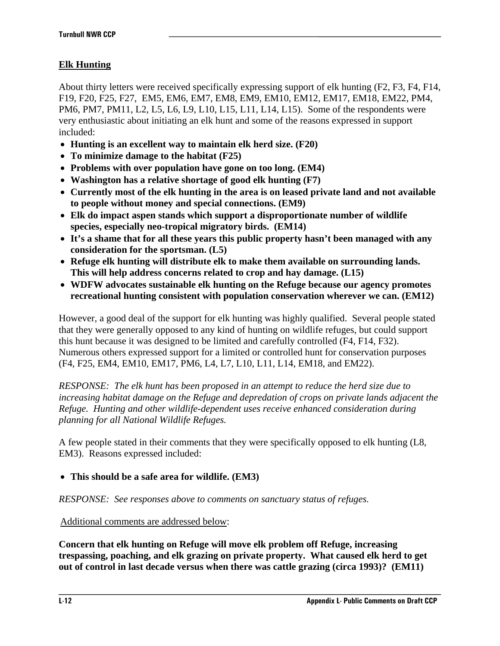# **Elk Hunting**

About thirty letters were received specifically expressing support of elk hunting (F2, F3, F4, F14, F19, F20, F25, F27, EM5, EM6, EM7, EM8, EM9, EM10, EM12, EM17, EM18, EM22, PM4, PM6, PM7, PM11, L2, L5, L6, L9, L10, L15, L11, L14, L15). Some of the respondents were very enthusiastic about initiating an elk hunt and some of the reasons expressed in support included:

- **Hunting is an excellent way to maintain elk herd size. (F20)**
- **To minimize damage to the habitat (F25)**
- **Problems with over population have gone on too long. (EM4)**
- **Washington has a relative shortage of good elk hunting (F7)**
- **Currently most of the elk hunting in the area is on leased private land and not available to people without money and special connections. (EM9)**
- **Elk do impact aspen stands which support a disproportionate number of wildlife species, especially neo-tropical migratory birds. (EM14)**
- **It's a shame that for all these years this public property hasn't been managed with any consideration for the sportsman. (L5)**
- **Refuge elk hunting will distribute elk to make them available on surrounding lands. This will help address concerns related to crop and hay damage. (L15)**
- **WDFW advocates sustainable elk hunting on the Refuge because our agency promotes recreational hunting consistent with population conservation wherever we can. (EM12)**

However, a good deal of the support for elk hunting was highly qualified. Several people stated that they were generally opposed to any kind of hunting on wildlife refuges, but could support this hunt because it was designed to be limited and carefully controlled (F4, F14, F32). Numerous others expressed support for a limited or controlled hunt for conservation purposes (F4, F25, EM4, EM10, EM17, PM6, L4, L7, L10, L11, L14, EM18, and EM22).

*RESPONSE: The elk hunt has been proposed in an attempt to reduce the herd size due to increasing habitat damage on the Refuge and depredation of crops on private lands adjacent the Refuge. Hunting and other wildlife-dependent uses receive enhanced consideration during planning for all National Wildlife Refuges.*

A few people stated in their comments that they were specifically opposed to elk hunting (L8, EM3). Reasons expressed included:

# • **This should be a safe area for wildlife. (EM3)**

*RESPONSE: See responses above to comments on sanctuary status of refuges.*

### Additional comments are addressed below:

**Concern that elk hunting on Refuge will move elk problem off Refuge, increasing trespassing, poaching, and elk grazing on private property. What caused elk herd to get out of control in last decade versus when there was cattle grazing (circa 1993)? (EM11)**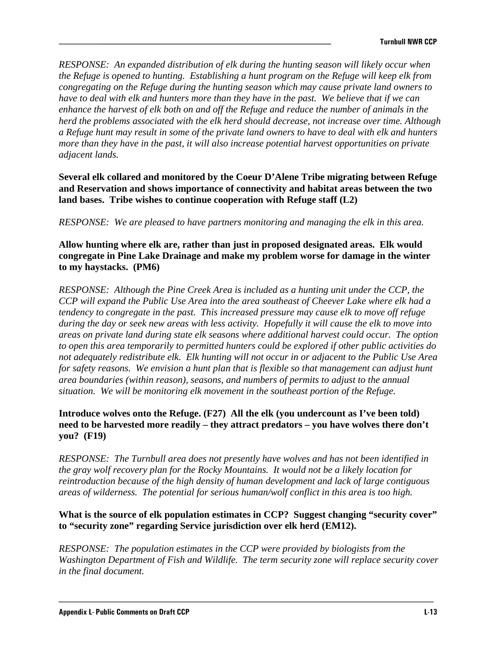*RESPONSE: An expanded distribution of elk during the hunting season will likely occur when the Refuge is opened to hunting. Establishing a hunt program on the Refuge will keep elk from congregating on the Refuge during the hunting season which may cause private land owners to have to deal with elk and hunters more than they have in the past. We believe that if we can enhance the harvest of elk both on and off the Refuge and reduce the number of animals in the herd the problems associated with the elk herd should decrease, not increase over time. Although a Refuge hunt may result in some of the private land owners to have to deal with elk and hunters more than they have in the past, it will also increase potential harvest opportunities on private adjacent lands.* 

**Several elk collared and monitored by the Coeur D'Alene Tribe migrating between Refuge and Reservation and shows importance of connectivity and habitat areas between the two land bases. Tribe wishes to continue cooperation with Refuge staff (L2)** 

*RESPONSE: We are pleased to have partners monitoring and managing the elk in this area.* 

**Allow hunting where elk are, rather than just in proposed designated areas. Elk would congregate in Pine Lake Drainage and make my problem worse for damage in the winter to my haystacks. (PM6)** 

*RESPONSE: Although the Pine Creek Area is included as a hunting unit under the CCP, the CCP will expand the Public Use Area into the area southeast of Cheever Lake where elk had a tendency to congregate in the past. This increased pressure may cause elk to move off refuge during the day or seek new areas with less activity. Hopefully it will cause the elk to move into areas on private land during state elk seasons where additional harvest could occur. The option to open this area temporarily to permitted hunters could be explored if other public activities do not adequately redistribute elk. Elk hunting will not occur in or adjacent to the Public Use Area for safety reasons. We envision a hunt plan that is flexible so that management can adjust hunt area boundaries (within reason), seasons, and numbers of permits to adjust to the annual situation. We will be monitoring elk movement in the southeast portion of the Refuge.* 

### **Introduce wolves onto the Refuge. (F27) All the elk (you undercount as I've been told) need to be harvested more readily – they attract predators – you have wolves there don't you? (F19)**

*RESPONSE: The Turnbull area does not presently have wolves and has not been identified in the gray wolf recovery plan for the Rocky Mountains. It would not be a likely location for reintroduction because of the high density of human development and lack of large contiguous areas of wilderness. The potential for serious human/wolf conflict in this area is too high.* 

### **What is the source of elk population estimates in CCP? Suggest changing "security cover" to "security zone" regarding Service jurisdiction over elk herd (EM12).**

*RESPONSE: The population estimates in the CCP were provided by biologists from the Washington Department of Fish and Wildlife. The term security zone will replace security cover in the final document.*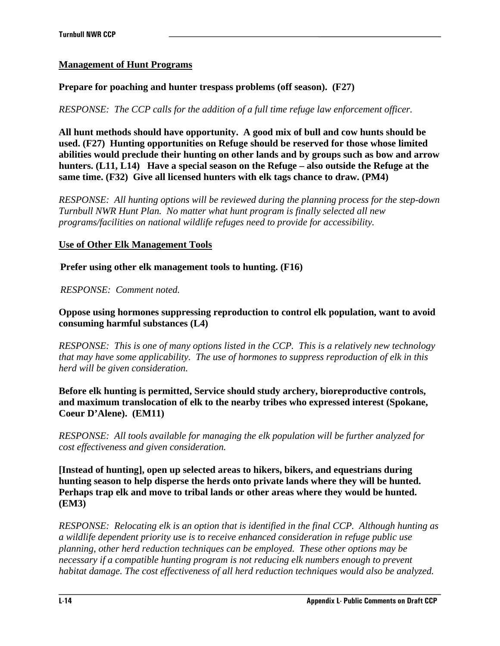## **Management of Hunt Programs**

### **Prepare for poaching and hunter trespass problems (off season). (F27)**

*RESPONSE: The CCP calls for the addition of a full time refuge law enforcement officer.* 

**All hunt methods should have opportunity. A good mix of bull and cow hunts should be used. (F27) Hunting opportunities on Refuge should be reserved for those whose limited abilities would preclude their hunting on other lands and by groups such as bow and arrow hunters. (L11, L14) Have a special season on the Refuge – also outside the Refuge at the same time. (F32) Give all licensed hunters with elk tags chance to draw. (PM4)** 

*RESPONSE: All hunting options will be reviewed during the planning process for the step-down Turnbull NWR Hunt Plan. No matter what hunt program is finally selected all new programs/facilities on national wildlife refuges need to provide for accessibility.* 

### **Use of Other Elk Management Tools**

**Prefer using other elk management tools to hunting. (F16)** 

*RESPONSE: Comment noted.* 

### **Oppose using hormones suppressing reproduction to control elk population, want to avoid consuming harmful substances (L4)**

*RESPONSE: This is one of many options listed in the CCP. This is a relatively new technology that may have some applicability. The use of hormones to suppress reproduction of elk in this herd will be given consideration.* 

**Before elk hunting is permitted, Service should study archery, bioreproductive controls, and maximum translocation of elk to the nearby tribes who expressed interest (Spokane, Coeur D'Alene). (EM11)** 

*RESPONSE: All tools available for managing the elk population will be further analyzed for cost effectiveness and given consideration.* 

**[Instead of hunting], open up selected areas to hikers, bikers, and equestrians during hunting season to help disperse the herds onto private lands where they will be hunted. Perhaps trap elk and move to tribal lands or other areas where they would be hunted. (EM3)** 

*RESPONSE: Relocating elk is an option that is identified in the final CCP. Although hunting as a wildlife dependent priority use is to receive enhanced consideration in refuge public use planning, other herd reduction techniques can be employed. These other options may be necessary if a compatible hunting program is not reducing elk numbers enough to prevent habitat damage. The cost effectiveness of all herd reduction techniques would also be analyzed.*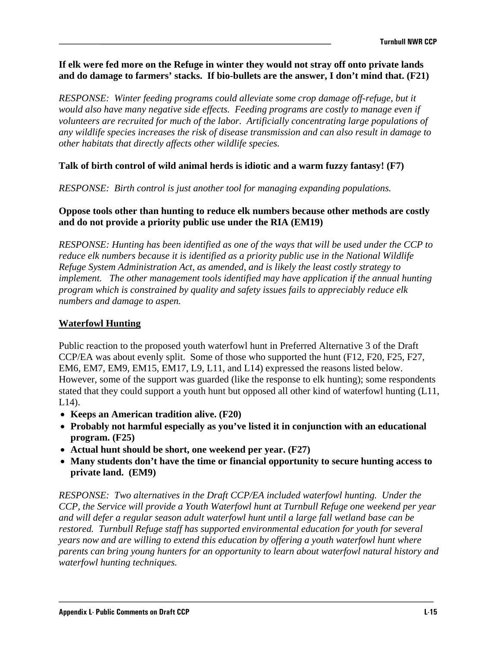### **If elk were fed more on the Refuge in winter they would not stray off onto private lands and do damage to farmers' stacks. If bio-bullets are the answer, I don't mind that. (F21)**

*RESPONSE: Winter feeding programs could alleviate some crop damage off-refuge, but it would also have many negative side effects. Feeding programs are costly to manage even if volunteers are recruited for much of the labor. Artificially concentrating large populations of any wildlife species increases the risk of disease transmission and can also result in damage to other habitats that directly affects other wildlife species.* 

### **Talk of birth control of wild animal herds is idiotic and a warm fuzzy fantasy! (F7)**

*RESPONSE: Birth control is just another tool for managing expanding populations.*

### **Oppose tools other than hunting to reduce elk numbers because other methods are costly and do not provide a priority public use under the RIA (EM19)**

*RESPONSE: Hunting has been identified as one of the ways that will be used under the CCP to reduce elk numbers because it is identified as a priority public use in the National Wildlife Refuge System Administration Act, as amended, and is likely the least costly strategy to implement. The other management tools identified may have application if the annual hunting program which is constrained by quality and safety issues fails to appreciably reduce elk numbers and damage to aspen.* 

### **Waterfowl Hunting**

Public reaction to the proposed youth waterfowl hunt in Preferred Alternative 3 of the Draft CCP/EA was about evenly split. Some of those who supported the hunt (F12, F20, F25, F27, EM6, EM7, EM9, EM15, EM17, L9, L11, and L14) expressed the reasons listed below. However, some of the support was guarded (like the response to elk hunting); some respondents stated that they could support a youth hunt but opposed all other kind of waterfowl hunting (L11, L14).

- **Keeps an American tradition alive. (F20)**
- **Probably not harmful especially as you've listed it in conjunction with an educational program. (F25)**
- **Actual hunt should be short, one weekend per year. (F27)**
- **Many students don't have the time or financial opportunity to secure hunting access to private land. (EM9)**

*RESPONSE: Two alternatives in the Draft CCP/EA included waterfowl hunting. Under the CCP, the Service will provide a Youth Waterfowl hunt at Turnbull Refuge one weekend per year and will defer a regular season adult waterfowl hunt until a large fall wetland base can be restored. Turnbull Refuge staff has supported environmental education for youth for several years now and are willing to extend this education by offering a youth waterfowl hunt where parents can bring young hunters for an opportunity to learn about waterfowl natural history and waterfowl hunting techniques.*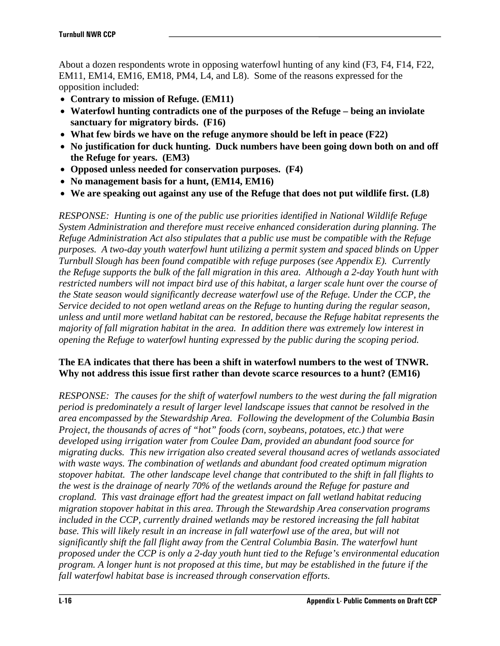About a dozen respondents wrote in opposing waterfowl hunting of any kind (F3, F4, F14, F22, EM11, EM14, EM16, EM18, PM4, L4, and L8). Some of the reasons expressed for the opposition included:

- **Contrary to mission of Refuge. (EM11)**
- **Waterfowl hunting contradicts one of the purposes of the Refuge being an inviolate sanctuary for migratory birds. (F16)**
- **What few birds we have on the refuge anymore should be left in peace (F22)**
- **No justification for duck hunting. Duck numbers have been going down both on and off the Refuge for years. (EM3)**
- **Opposed unless needed for conservation purposes. (F4)**
- **No management basis for a hunt, (EM14, EM16)**
- **We are speaking out against any use of the Refuge that does not put wildlife first. (L8)**

*RESPONSE: Hunting is one of the public use priorities identified in National Wildlife Refuge System Administration and therefore must receive enhanced consideration during planning. The Refuge Administration Act also stipulates that a public use must be compatible with the Refuge purposes. A two-day youth waterfowl hunt utilizing a permit system and spaced blinds on Upper Turnbull Slough has been found compatible with refuge purposes (see Appendix E). Currently the Refuge supports the bulk of the fall migration in this area. Although a 2-day Youth hunt with restricted numbers will not impact bird use of this habitat, a larger scale hunt over the course of the State season would significantly decrease waterfowl use of the Refuge. Under the CCP, the Service decided to not open wetland areas on the Refuge to hunting during the regular season, unless and until more wetland habitat can be restored, because the Refuge habitat represents the majority of fall migration habitat in the area. In addition there was extremely low interest in opening the Refuge to waterfowl hunting expressed by the public during the scoping period.* 

### **The EA indicates that there has been a shift in waterfowl numbers to the west of TNWR. Why not address this issue first rather than devote scarce resources to a hunt? (EM16)**

*RESPONSE: The causes for the shift of waterfowl numbers to the west during the fall migration period is predominately a result of larger level landscape issues that cannot be resolved in the area encompassed by the Stewardship Area. Following the development of the Columbia Basin Project, the thousands of acres of "hot" foods (corn, soybeans, potatoes, etc.) that were developed using irrigation water from Coulee Dam, provided an abundant food source for migrating ducks. This new irrigation also created several thousand acres of wetlands associated with waste ways. The combination of wetlands and abundant food created optimum migration stopover habitat. The other landscape level change that contributed to the shift in fall flights to the west is the drainage of nearly 70% of the wetlands around the Refuge for pasture and cropland. This vast drainage effort had the greatest impact on fall wetland habitat reducing migration stopover habitat in this area. Through the Stewardship Area conservation programs included in the CCP, currently drained wetlands may be restored increasing the fall habitat base. This will likely result in an increase in fall waterfowl use of the area, but will not significantly shift the fall flight away from the Central Columbia Basin. The waterfowl hunt proposed under the CCP is only a 2-day youth hunt tied to the Refuge's environmental education program. A longer hunt is not proposed at this time, but may be established in the future if the fall waterfowl habitat base is increased through conservation efforts.*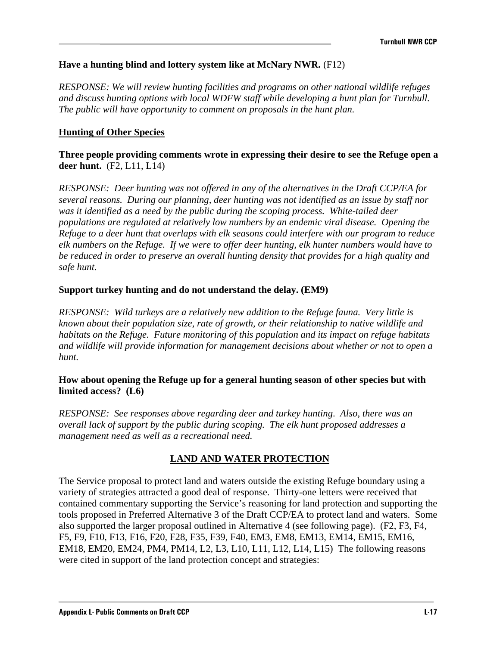### **Have a hunting blind and lottery system like at McNary NWR.** (F12)

*RESPONSE: We will review hunting facilities and programs on other national wildlife refuges and discuss hunting options with local WDFW staff while developing a hunt plan for Turnbull. The public will have opportunity to comment on proposals in the hunt plan.* 

### **Hunting of Other Species**

**Three people providing comments wrote in expressing their desire to see the Refuge open a deer hunt.** (F2, L11, L14)

*RESPONSE: Deer hunting was not offered in any of the alternatives in the Draft CCP/EA for several reasons. During our planning, deer hunting was not identified as an issue by staff nor was it identified as a need by the public during the scoping process. White-tailed deer populations are regulated at relatively low numbers by an endemic viral disease. Opening the Refuge to a deer hunt that overlaps with elk seasons could interfere with our program to reduce elk numbers on the Refuge. If we were to offer deer hunting, elk hunter numbers would have to be reduced in order to preserve an overall hunting density that provides for a high quality and safe hunt.* 

#### **Support turkey hunting and do not understand the delay. (EM9)**

*RESPONSE: Wild turkeys are a relatively new addition to the Refuge fauna. Very little is known about their population size, rate of growth, or their relationship to native wildlife and habitats on the Refuge. Future monitoring of this population and its impact on refuge habitats and wildlife will provide information for management decisions about whether or not to open a hunt.* 

#### **How about opening the Refuge up for a general hunting season of other species but with limited access? (L6)**

*RESPONSE: See responses above regarding deer and turkey hunting*. *Also*, *there was an overall lack of support by the public during scoping. The elk hunt proposed addresses a management need as well as a recreational need.* 

#### **LAND AND WATER PROTECTION**

The Service proposal to protect land and waters outside the existing Refuge boundary using a variety of strategies attracted a good deal of response. Thirty-one letters were received that contained commentary supporting the Service's reasoning for land protection and supporting the tools proposed in Preferred Alternative 3 of the Draft CCP/EA to protect land and waters. Some also supported the larger proposal outlined in Alternative 4 (see following page). (F2, F3, F4, F5, F9, F10, F13, F16, F20, F28, F35, F39, F40, EM3, EM8, EM13, EM14, EM15, EM16, EM18, EM20, EM24, PM4, PM14, L2, L3, L10, L11, L12, L14, L15) The following reasons were cited in support of the land protection concept and strategies: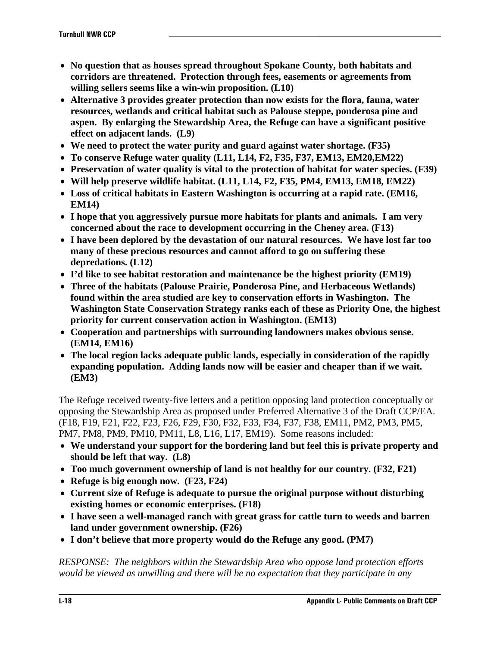- **No question that as houses spread throughout Spokane County, both habitats and corridors are threatened. Protection through fees, easements or agreements from willing sellers seems like a win-win proposition. (L10)**
- **Alternative 3 provides greater protection than now exists for the flora, fauna, water resources, wetlands and critical habitat such as Palouse steppe, ponderosa pine and aspen. By enlarging the Stewardship Area, the Refuge can have a significant positive effect on adjacent lands. (L9)**
- **We need to protect the water purity and guard against water shortage. (F35)**
- **To conserve Refuge water quality (L11, L14, F2, F35, F37, EM13, EM20,EM22)**
- **Preservation of water quality is vital to the protection of habitat for water species. (F39)**
- **Will help preserve wildlife habitat. (L11, L14, F2, F35, PM4, EM13, EM18, EM22)**
- **Loss of critical habitats in Eastern Washington is occurring at a rapid rate. (EM16, EM14)**
- **I hope that you aggressively pursue more habitats for plants and animals. I am very concerned about the race to development occurring in the Cheney area. (F13)**
- **I have been deplored by the devastation of our natural resources. We have lost far too many of these precious resources and cannot afford to go on suffering these depredations. (L12)**
- **I'd like to see habitat restoration and maintenance be the highest priority (EM19)**
- **Three of the habitats (Palouse Prairie, Ponderosa Pine, and Herbaceous Wetlands) found within the area studied are key to conservation efforts in Washington. The Washington State Conservation Strategy ranks each of these as Priority One, the highest priority for current conservation action in Washington. (EM13)**
- **Cooperation and partnerships with surrounding landowners makes obvious sense. (EM14, EM16)**
- **The local region lacks adequate public lands, especially in consideration of the rapidly expanding population. Adding lands now will be easier and cheaper than if we wait. (EM3)**

The Refuge received twenty-five letters and a petition opposing land protection conceptually or opposing the Stewardship Area as proposed under Preferred Alternative 3 of the Draft CCP/EA. (F18, F19, F21, F22, F23, F26, F29, F30, F32, F33, F34, F37, F38, EM11, PM2, PM3, PM5, PM7, PM8, PM9, PM10, PM11, L8, L16, L17, EM19). Some reasons included:

- **We understand your support for the bordering land but feel this is private property and should be left that way. (L8)**
- **Too much government ownership of land is not healthy for our country. (F32, F21)**
- **Refuge is big enough now. (F23, F24)**
- **Current size of Refuge is adequate to pursue the original purpose without disturbing existing homes or economic enterprises. (F18)**
- **I have seen a well-managed ranch with great grass for cattle turn to weeds and barren land under government ownership. (F26)**
- **I don't believe that more property would do the Refuge any good. (PM7)**

*RESPONSE: The neighbors within the Stewardship Area who oppose land protection efforts would be viewed as unwilling and there will be no expectation that they participate in any*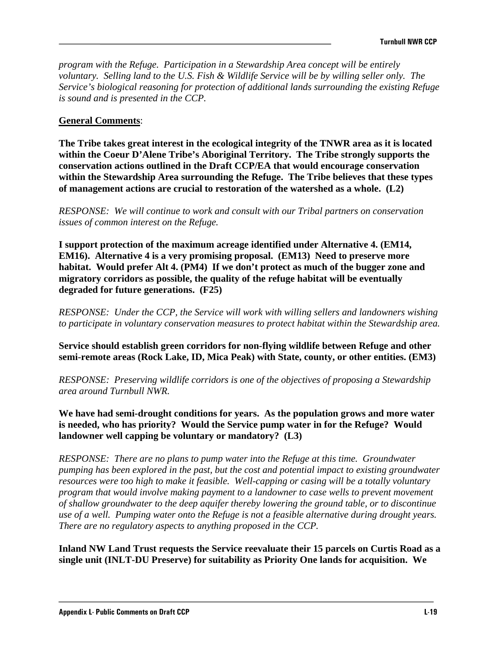*program with the Refuge. Participation in a Stewardship Area concept will be entirely voluntary. Selling land to the U.S. Fish & Wildlife Service will be by willing seller only. The Service's biological reasoning for protection of additional lands surrounding the existing Refuge is sound and is presented in the CCP.* 

### **General Comments**:

**The Tribe takes great interest in the ecological integrity of the TNWR area as it is located within the Coeur D'Alene Tribe's Aboriginal Territory. The Tribe strongly supports the conservation actions outlined in the Draft CCP/EA that would encourage conservation within the Stewardship Area surrounding the Refuge. The Tribe believes that these types of management actions are crucial to restoration of the watershed as a whole. (L2)** 

*RESPONSE: We will continue to work and consult with our Tribal partners on conservation issues of common interest on the Refuge.*

**I support protection of the maximum acreage identified under Alternative 4. (EM14, EM16). Alternative 4 is a very promising proposal. (EM13) Need to preserve more habitat. Would prefer Alt 4. (PM4) If we don't protect as much of the bugger zone and migratory corridors as possible, the quality of the refuge habitat will be eventually degraded for future generations. (F25)** 

*RESPONSE: Under the CCP, the Service will work with willing sellers and landowners wishing to participate in voluntary conservation measures to protect habitat within the Stewardship area.*

**Service should establish green corridors for non-flying wildlife between Refuge and other semi-remote areas (Rock Lake, ID, Mica Peak) with State, county, or other entities. (EM3)** 

*RESPONSE: Preserving wildlife corridors is one of the objectives of proposing a Stewardship area around Turnbull NWR.* 

**We have had semi-drought conditions for years. As the population grows and more water is needed, who has priority? Would the Service pump water in for the Refuge? Would landowner well capping be voluntary or mandatory? (L3)** 

*RESPONSE: There are no plans to pump water into the Refuge at this time. Groundwater pumping has been explored in the past, but the cost and potential impact to existing groundwater resources were too high to make it feasible. Well-capping or casing will be a totally voluntary program that would involve making payment to a landowner to case wells to prevent movement of shallow groundwater to the deep aquifer thereby lowering the ground table, or to discontinue use of a well. Pumping water onto the Refuge is not a feasible alternative during drought years. There are no regulatory aspects to anything proposed in the CCP.* 

**Inland NW Land Trust requests the Service reevaluate their 15 parcels on Curtis Road as a single unit (INLT-DU Preserve) for suitability as Priority One lands for acquisition. We**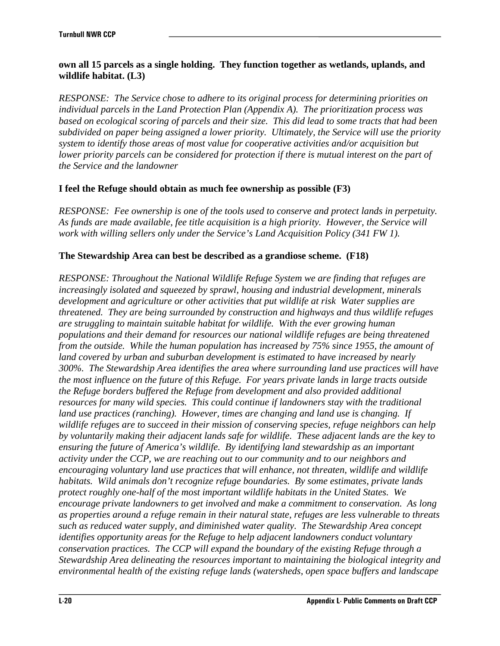### **own all 15 parcels as a single holding. They function together as wetlands, uplands, and wildlife habitat. (L3)**

*RESPONSE: The Service chose to adhere to its original process for determining priorities on individual parcels in the Land Protection Plan (Appendix A). The prioritization process was based on ecological scoring of parcels and their size. This did lead to some tracts that had been subdivided on paper being assigned a lower priority. Ultimately, the Service will use the priority system to identify those areas of most value for cooperative activities and/or acquisition but lower priority parcels can be considered for protection if there is mutual interest on the part of the Service and the landowner* 

## **I feel the Refuge should obtain as much fee ownership as possible (F3)**

*RESPONSE: Fee ownership is one of the tools used to conserve and protect lands in perpetuity. As funds are made available, fee title acquisition is a high priority. However, the Service will work with willing sellers only under the Service's Land Acquisition Policy (341 FW 1).* 

## **The Stewardship Area can best be described as a grandiose scheme. (F18)**

*RESPONSE: Throughout the National Wildlife Refuge System we are finding that refuges are increasingly isolated and squeezed by sprawl, housing and industrial development, minerals development and agriculture or other activities that put wildlife at risk Water supplies are threatened. They are being surrounded by construction and highways and thus wildlife refuges are struggling to maintain suitable habitat for wildlife. With the ever growing human populations and their demand for resources our national wildlife refuges are being threatened from the outside. While the human population has increased by 75% since 1955, the amount of land covered by urban and suburban development is estimated to have increased by nearly 300%. The Stewardship Area identifies the area where surrounding land use practices will have the most influence on the future of this Refuge. For years private lands in large tracts outside the Refuge borders buffered the Refuge from development and also provided additional resources for many wild species. This could continue if landowners stay with the traditional land use practices (ranching). However, times are changing and land use is changing. If wildlife refuges are to succeed in their mission of conserving species, refuge neighbors can help by voluntarily making their adjacent lands safe for wildlife. These adjacent lands are the key to ensuring the future of America's wildlife. By identifying land stewardship as an important activity under the CCP, we are reaching out to our community and to our neighbors and encouraging voluntary land use practices that will enhance, not threaten, wildlife and wildlife habitats. Wild animals don't recognize refuge boundaries. By some estimates, private lands protect roughly one-half of the most important wildlife habitats in the United States. We encourage private landowners to get involved and make a commitment to conservation. As long as properties around a refuge remain in their natural state, refuges are less vulnerable to threats such as reduced water supply, and diminished water quality. The Stewardship Area concept identifies opportunity areas for the Refuge to help adjacent landowners conduct voluntary conservation practices. The CCP will expand the boundary of the existing Refuge through a Stewardship Area delineating the resources important to maintaining the biological integrity and environmental health of the existing refuge lands (watersheds, open space buffers and landscape*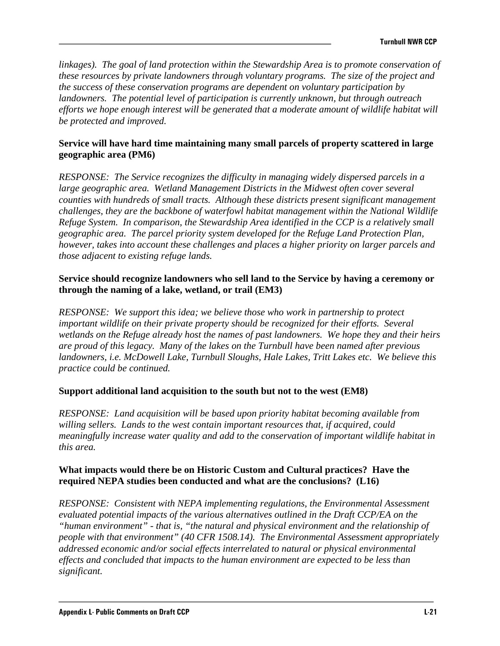*linkages). The goal of land protection within the Stewardship Area is to promote conservation of these resources by private landowners through voluntary programs. The size of the project and the success of these conservation programs are dependent on voluntary participation by landowners. The potential level of participation is currently unknown, but through outreach efforts we hope enough interest will be generated that a moderate amount of wildlife habitat will be protected and improved.* 

### **Service will have hard time maintaining many small parcels of property scattered in large geographic area (PM6)**

*RESPONSE: The Service recognizes the difficulty in managing widely dispersed parcels in a large geographic area. Wetland Management Districts in the Midwest often cover several counties with hundreds of small tracts. Although these districts present significant management challenges, they are the backbone of waterfowl habitat management within the National Wildlife Refuge System. In comparison, the Stewardship Area identified in the CCP is a relatively small geographic area. The parcel priority system developed for the Refuge Land Protection Plan, however, takes into account these challenges and places a higher priority on larger parcels and those adjacent to existing refuge lands.* 

### **Service should recognize landowners who sell land to the Service by having a ceremony or through the naming of a lake, wetland, or trail (EM3)**

*RESPONSE: We support this idea; we believe those who work in partnership to protect important wildlife on their private property should be recognized for their efforts. Several wetlands on the Refuge already host the names of past landowners. We hope they and their heirs are proud of this legacy. Many of the lakes on the Turnbull have been named after previous landowners, i.e. McDowell Lake, Turnbull Sloughs, Hale Lakes, Tritt Lakes etc. We believe this practice could be continued.* 

### **Support additional land acquisition to the south but not to the west (EM8)**

*RESPONSE: Land acquisition will be based upon priority habitat becoming available from willing sellers. Lands to the west contain important resources that, if acquired, could meaningfully increase water quality and add to the conservation of important wildlife habitat in this area.* 

### **What impacts would there be on Historic Custom and Cultural practices? Have the required NEPA studies been conducted and what are the conclusions? (L16)**

*RESPONSE: Consistent with NEPA implementing regulations, the Environmental Assessment evaluated potential impacts of the various alternatives outlined in the Draft CCP/EA on the "human environment" - that is, "the natural and physical environment and the relationship of people with that environment" (40 CFR 1508.14). The Environmental Assessment appropriately addressed economic and/or social effects interrelated to natural or physical environmental effects and concluded that impacts to the human environment are expected to be less than significant.*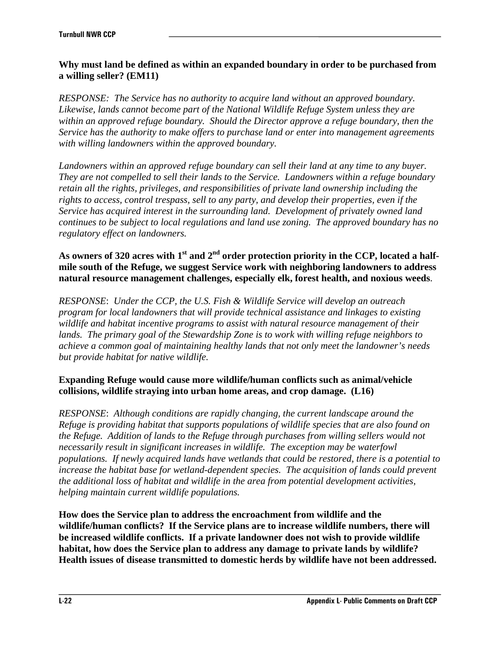### **Why must land be defined as within an expanded boundary in order to be purchased from a willing seller? (EM11)**

*RESPONSE: The Service has no authority to acquire land without an approved boundary. Likewise, lands cannot become part of the National Wildlife Refuge System unless they are within an approved refuge boundary. Should the Director approve a refuge boundary, then the Service has the authority to make offers to purchase land or enter into management agreements with willing landowners within the approved boundary.* 

*Landowners within an approved refuge boundary can sell their land at any time to any buyer. They are not compelled to sell their lands to the Service. Landowners within a refuge boundary retain all the rights, privileges, and responsibilities of private land ownership including the rights to access, control trespass, sell to any party, and develop their properties, even if the Service has acquired interest in the surrounding land. Development of privately owned land continues to be subject to local regulations and land use zoning. The approved boundary has no regulatory effect on landowners.* 

As owners of 320 acres with 1<sup>st</sup> and 2<sup>nd</sup> order protection priority in the CCP, located a half**mile south of the Refuge, we suggest Service work with neighboring landowners to address natural resource management challenges, especially elk, forest health, and noxious weeds**.

*RESPONSE*: *Under the CCP, the U.S. Fish & Wildlife Service will develop an outreach program for local landowners that will provide technical assistance and linkages to existing wildlife and habitat incentive programs to assist with natural resource management of their lands. The primary goal of the Stewardship Zone is to work with willing refuge neighbors to achieve a common goal of maintaining healthy lands that not only meet the landowner's needs but provide habitat for native wildlife.* 

## **Expanding Refuge would cause more wildlife/human conflicts such as animal/vehicle collisions, wildlife straying into urban home areas, and crop damage. (L16)**

*RESPONSE*: *Although conditions are rapidly changing, the current landscape around the Refuge is providing habitat that supports populations of wildlife species that are also found on the Refuge. Addition of lands to the Refuge through purchases from willing sellers would not necessarily result in significant increases in wildlife. The exception may be waterfowl populations. If newly acquired lands have wetlands that could be restored, there is a potential to increase the habitat base for wetland-dependent species. The acquisition of lands could prevent the additional loss of habitat and wildlife in the area from potential development activities, helping maintain current wildlife populations.* 

**How does the Service plan to address the encroachment from wildlife and the wildlife/human conflicts? If the Service plans are to increase wildlife numbers, there will be increased wildlife conflicts. If a private landowner does not wish to provide wildlife habitat, how does the Service plan to address any damage to private lands by wildlife? Health issues of disease transmitted to domestic herds by wildlife have not been addressed.**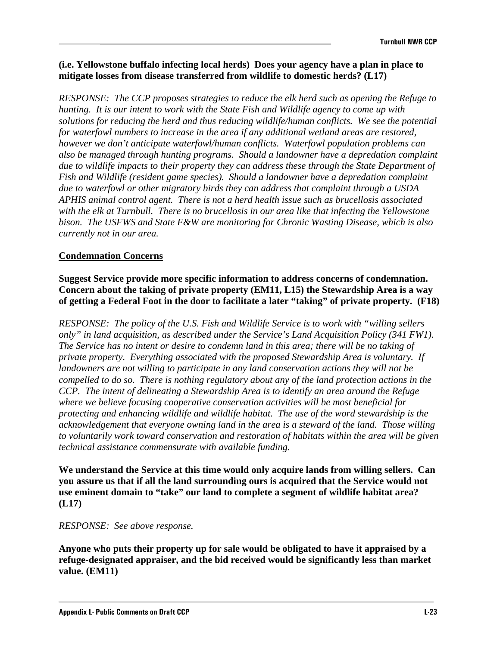#### **(i.e. Yellowstone buffalo infecting local herds) Does your agency have a plan in place to mitigate losses from disease transferred from wildlife to domestic herds? (L17)**

*RESPONSE: The CCP proposes strategies to reduce the elk herd such as opening the Refuge to hunting. It is our intent to work with the State Fish and Wildlife agency to come up with solutions for reducing the herd and thus reducing wildlife/human conflicts. We see the potential for waterfowl numbers to increase in the area if any additional wetland areas are restored, however we don't anticipate waterfowl/human conflicts. Waterfowl population problems can also be managed through hunting programs. Should a landowner have a depredation complaint due to wildlife impacts to their property they can address these through the State Department of Fish and Wildlife (resident game species). Should a landowner have a depredation complaint due to waterfowl or other migratory birds they can address that complaint through a USDA APHIS animal control agent. There is not a herd health issue such as brucellosis associated with the elk at Turnbull. There is no brucellosis in our area like that infecting the Yellowstone bison. The USFWS and State F&W are monitoring for Chronic Wasting Disease, which is also currently not in our area.* 

### **Condemnation Concerns**

**Suggest Service provide more specific information to address concerns of condemnation. Concern about the taking of private property (EM11, L15) the Stewardship Area is a way of getting a Federal Foot in the door to facilitate a later "taking" of private property. (F18)** 

*RESPONSE: The policy of the U.S. Fish and Wildlife Service is to work with "willing sellers only" in land acquisition, as described under the Service's Land Acquisition Policy (341 FW1). The Service has no intent or desire to condemn land in this area; there will be no taking of private property. Everything associated with the proposed Stewardship Area is voluntary. If landowners are not willing to participate in any land conservation actions they will not be compelled to do so. There is nothing regulatory about any of the land protection actions in the CCP. The intent of delineating a Stewardship Area is to identify an area around the Refuge where we believe focusing cooperative conservation activities will be most beneficial for protecting and enhancing wildlife and wildlife habitat. The use of the word stewardship is the acknowledgement that everyone owning land in the area is a steward of the land. Those willing to voluntarily work toward conservation and restoration of habitats within the area will be given technical assistance commensurate with available funding.* 

**We understand the Service at this time would only acquire lands from willing sellers. Can you assure us that if all the land surrounding ours is acquired that the Service would not use eminent domain to "take" our land to complete a segment of wildlife habitat area? (L17)** 

#### *RESPONSE: See above response.*

**Anyone who puts their property up for sale would be obligated to have it appraised by a refuge-designated appraiser, and the bid received would be significantly less than market value. (EM11)**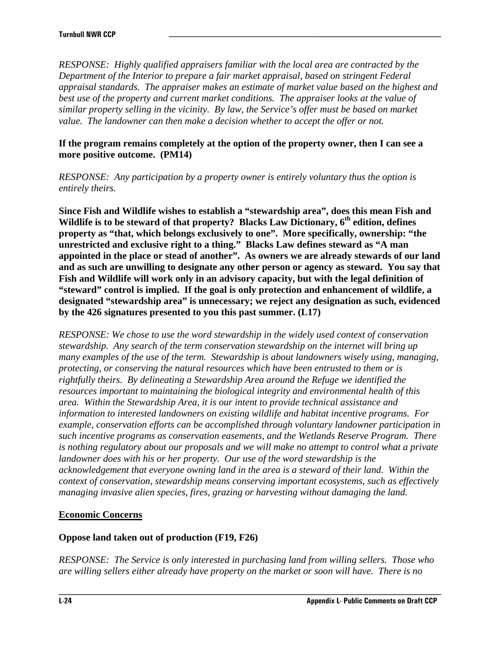*RESPONSE: Highly qualified appraisers familiar with the local area are contracted by the Department of the Interior to prepare a fair market appraisal, based on stringent Federal appraisal standards. The appraiser makes an estimate of market value based on the highest and*  best use of the property and current market conditions. The appraiser looks at the value of *similar property selling in the vicinity. By law, the Service's offer must be based on market value. The landowner can then make a decision whether to accept the offer or not.* 

#### **If the program remains completely at the option of the property owner, then I can see a more positive outcome. (PM14)**

*RESPONSE: Any participation by a property owner is entirely voluntary thus the option is entirely theirs.* 

**Since Fish and Wildlife wishes to establish a "stewardship area", does this mean Fish and**  Wildlife is to be steward of that property? Blacks Law Dictionary, 6<sup>th</sup> edition, defines **property as "that, which belongs exclusively to one". More specifically, ownership: "the unrestricted and exclusive right to a thing." Blacks Law defines steward as "A man appointed in the place or stead of another". As owners we are already stewards of our land and as such are unwilling to designate any other person or agency as steward. You say that Fish and Wildlife will work only in an advisory capacity, but with the legal definition of "steward" control is implied. If the goal is only protection and enhancement of wildlife, a designated "stewardship area" is unnecessary; we reject any designation as such, evidenced by the 426 signatures presented to you this past summer. (L17)** 

*RESPONSE: We chose to use the word stewardship in the widely used context of conservation stewardship. Any search of the term conservation stewardship on the internet will bring up many examples of the use of the term. Stewardship is about landowners wisely using, managing, protecting, or conserving the natural resources which have been entrusted to them or is rightfully theirs. By delineating a Stewardship Area around the Refuge we identified the resources important to maintaining the biological integrity and environmental health of this area. Within the Stewardship Area, it is our intent to provide technical assistance and information to interested landowners on existing wildlife and habitat incentive programs. For example, conservation efforts can be accomplished through voluntary landowner participation in such incentive programs as conservation easements, and the Wetlands Reserve Program. There is nothing regulatory about our proposals and we will make no attempt to control what a private landowner does with his or her property. Our use of the word stewardship is the acknowledgement that everyone owning land in the area is a steward of their land. Within the context of conservation, stewardship means conserving important ecosystems, such as effectively managing invasive alien species, fires, grazing or harvesting without damaging the land.* 

### **Economic Concerns**

### **Oppose land taken out of production (F19, F26)**

*RESPONSE: The Service is only interested in purchasing land from willing sellers. Those who are willing sellers either already have property on the market or soon will have. There is no*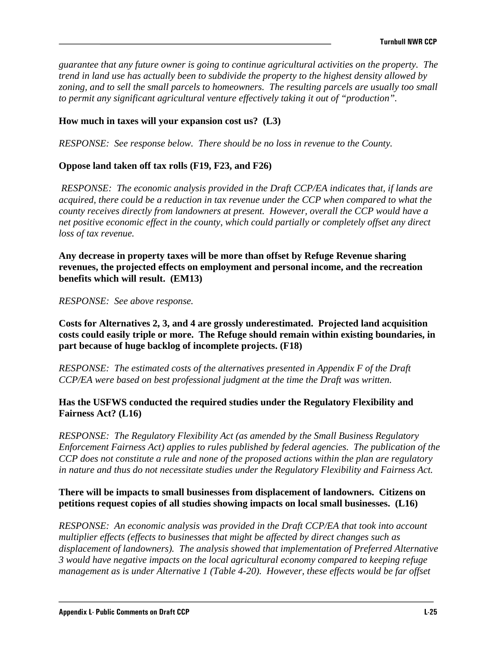*guarantee that any future owner is going to continue agricultural activities on the property. The trend in land use has actually been to subdivide the property to the highest density allowed by*  zoning, and to sell the small parcels to homeowners. The resulting parcels are usually too small *to permit any significant agricultural venture effectively taking it out of "production".* 

### **How much in taxes will your expansion cost us? (L3)**

*RESPONSE: See response below.**There should be no loss in revenue to the County.*

### **Oppose land taken off tax rolls (F19, F23, and F26)**

*RESPONSE: The economic analysis provided in the Draft CCP/EA indicates that, if lands are acquired, there could be a reduction in tax revenue under the CCP when compared to what the county receives directly from landowners at present. However, overall the CCP would have a net positive economic effect in the county, which could partially or completely offset any direct loss of tax revenue.* 

**Any decrease in property taxes will be more than offset by Refuge Revenue sharing revenues, the projected effects on employment and personal income, and the recreation benefits which will result. (EM13)** 

*RESPONSE: See above response.*

**Costs for Alternatives 2, 3, and 4 are grossly underestimated. Projected land acquisition costs could easily triple or more. The Refuge should remain within existing boundaries, in part because of huge backlog of incomplete projects. (F18)** 

*RESPONSE: The estimated costs of the alternatives presented in Appendix F of the Draft CCP/EA were based on best professional judgment at the time the Draft was written.* 

### **Has the USFWS conducted the required studies under the Regulatory Flexibility and Fairness Act? (L16)**

*RESPONSE: The Regulatory Flexibility Act (as amended by the Small Business Regulatory Enforcement Fairness Act) applies to rules published by federal agencies. The publication of the CCP does not constitute a rule and none of the proposed actions within the plan are regulatory in nature and thus do not necessitate studies under the Regulatory Flexibility and Fairness Act.* 

### **There will be impacts to small businesses from displacement of landowners. Citizens on petitions request copies of all studies showing impacts on local small businesses. (L16)**

*RESPONSE: An economic analysis was provided in the Draft CCP/EA that took into account multiplier effects (effects to businesses that might be affected by direct changes such as displacement of landowners). The analysis showed that implementation of Preferred Alternative 3 would have negative impacts on the local agricultural economy compared to keeping refuge management as is under Alternative 1 (Table 4-20). However, these effects would be far offset*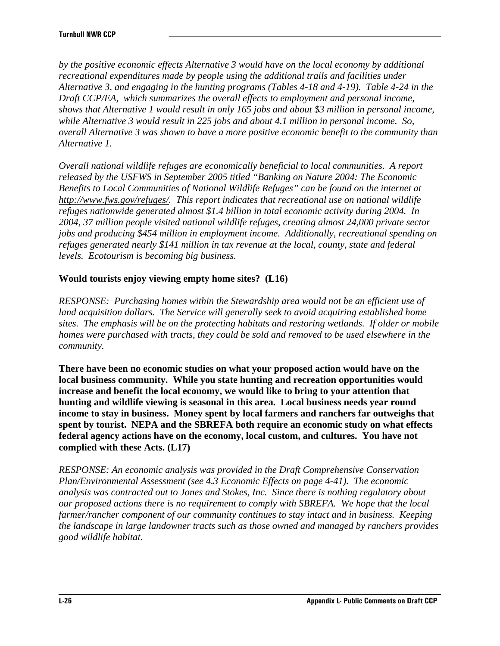*by the positive economic effects Alternative 3 would have on the local economy by additional recreational expenditures made by people using the additional trails and facilities under Alternative 3, and engaging in the hunting programs (Tables 4-18 and 4-19). Table 4-24 in the Draft CCP/EA, which summarizes the overall effects to employment and personal income, shows that Alternative 1 would result in only 165 jobs and about \$3 million in personal income, while Alternative 3 would result in 225 jobs and about 4.1 million in personal income. So, overall Alternative 3 was shown to have a more positive economic benefit to the community than Alternative 1.* 

*Overall national wildlife refuges are economically beneficial to local communities. A report released by the USFWS in September 2005 titled "Banking on Nature 2004: The Economic Benefits to Local Communities of National Wildlife Refuges" can be found on the internet at http://www.fws.gov/refuges/. This report indicates that recreational use on national wildlife refuges nationwide generated almost \$1.4 billion in total economic activity during 2004. In 2004, 37 million people visited national wildlife refuges, creating almost 24,000 private sector jobs and producing \$454 million in employment income. Additionally, recreational spending on refuges generated nearly \$141 million in tax revenue at the local, county, state and federal levels. Ecotourism is becoming big business.* 

## **Would tourists enjoy viewing empty home sites? (L16)**

*RESPONSE: Purchasing homes within the Stewardship area would not be an efficient use of land acquisition dollars. The Service will generally seek to avoid acquiring established home sites. The emphasis will be on the protecting habitats and restoring wetlands. If older or mobile homes were purchased with tracts, they could be sold and removed to be used elsewhere in the community.* 

**There have been no economic studies on what your proposed action would have on the local business community. While you state hunting and recreation opportunities would increase and benefit the local economy, we would like to bring to your attention that hunting and wildlife viewing is seasonal in this area. Local business needs year round income to stay in business. Money spent by local farmers and ranchers far outweighs that spent by tourist. NEPA and the SBREFA both require an economic study on what effects federal agency actions have on the economy, local custom, and cultures. You have not complied with these Acts. (L17)** 

*RESPONSE: An economic analysis was provided in the Draft Comprehensive Conservation Plan/Environmental Assessment (see 4.3 Economic Effects on page 4-41). The economic analysis was contracted out to Jones and Stokes, Inc. Since there is nothing regulatory about our proposed actions there is no requirement to comply with SBREFA. We hope that the local farmer/rancher component of our community continues to stay intact and in business. Keeping the landscape in large landowner tracts such as those owned and managed by ranchers provides good wildlife habitat.*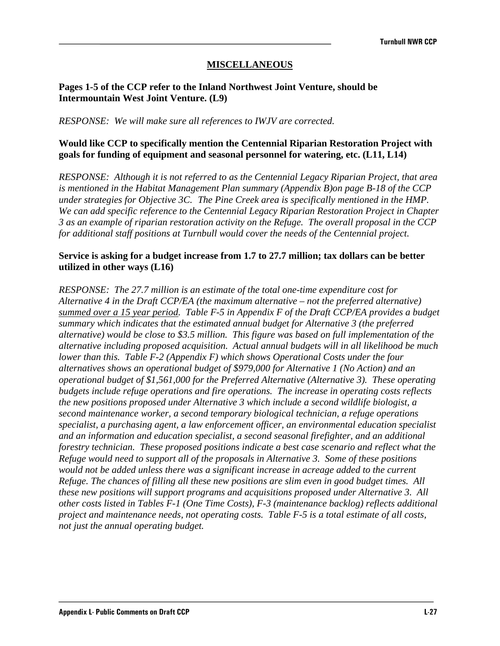### **MISCELLANEOUS**

#### **Pages 1-5 of the CCP refer to the Inland Northwest Joint Venture, should be Intermountain West Joint Venture. (L9)**

*RESPONSE: We will make sure all references to IWJV are corrected.* 

### **Would like CCP to specifically mention the Centennial Riparian Restoration Project with goals for funding of equipment and seasonal personnel for watering, etc. (L11, L14)**

*RESPONSE: Although it is not referred to as the Centennial Legacy Riparian Project, that area is mentioned in the Habitat Management Plan summary (Appendix B)on page B-18 of the CCP under strategies for Objective 3C. The Pine Creek area is specifically mentioned in the HMP. We can add specific reference to the Centennial Legacy Riparian Restoration Project in Chapter 3 as an example of riparian restoration activity on the Refuge. The overall proposal in the CCP for additional staff positions at Turnbull would cover the needs of the Centennial project.* 

#### **Service is asking for a budget increase from 1.7 to 27.7 million; tax dollars can be better utilized in other ways (L16)**

*RESPONSE: The 27.7 million is an estimate of the total one-time expenditure cost for Alternative 4 in the Draft CCP/EA (the maximum alternative – not the preferred alternative) summed over a 15 year period. Table F-5 in Appendix F of the Draft CCP/EA provides a budget summary which indicates that the estimated annual budget for Alternative 3 (the preferred alternative) would be close to \$3.5 million. This figure was based on full implementation of the alternative including proposed acquisition. Actual annual budgets will in all likelihood be much lower than this. Table F-2 (Appendix F) which shows Operational Costs under the four alternatives shows an operational budget of \$979,000 for Alternative 1 (No Action) and an operational budget of \$1,561,000 for the Preferred Alternative (Alternative 3). These operating budgets include refuge operations and fire operations. The increase in operating costs reflects the new positions proposed under Alternative 3 which include a second wildlife biologist, a second maintenance worker, a second temporary biological technician, a refuge operations specialist, a purchasing agent, a law enforcement officer, an environmental education specialist and an information and education specialist, a second seasonal firefighter, and an additional forestry technician. These proposed positions indicate a best case scenario and reflect what the Refuge would need to support all of the proposals in Alternative 3. Some of these positions would not be added unless there was a significant increase in acreage added to the current Refuge. The chances of filling all these new positions are slim even in good budget times. All these new positions will support programs and acquisitions proposed under Alternative 3. All other costs listed in Tables F-1 (One Time Costs), F-3 (maintenance backlog) reflects additional project and maintenance needs, not operating costs. Table F-5 is a total estimate of all costs, not just the annual operating budget.*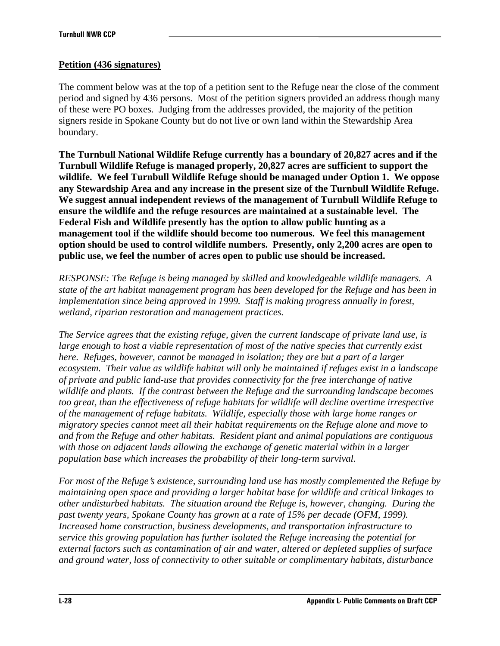## **Petition (436 signatures)**

The comment below was at the top of a petition sent to the Refuge near the close of the comment period and signed by 436 persons. Most of the petition signers provided an address though many of these were PO boxes. Judging from the addresses provided, the majority of the petition signers reside in Spokane County but do not live or own land within the Stewardship Area boundary.

**The Turnbull National Wildlife Refuge currently has a boundary of 20,827 acres and if the Turnbull Wildlife Refuge is managed properly, 20,827 acres are sufficient to support the wildlife. We feel Turnbull Wildlife Refuge should be managed under Option 1. We oppose any Stewardship Area and any increase in the present size of the Turnbull Wildlife Refuge. We suggest annual independent reviews of the management of Turnbull Wildlife Refuge to ensure the wildlife and the refuge resources are maintained at a sustainable level. The Federal Fish and Wildlife presently has the option to allow public hunting as a management tool if the wildlife should become too numerous. We feel this management option should be used to control wildlife numbers. Presently, only 2,200 acres are open to public use, we feel the number of acres open to public use should be increased.** 

*RESPONSE: The Refuge is being managed by skilled and knowledgeable wildlife managers. A state of the art habitat management program has been developed for the Refuge and has been in implementation since being approved in 1999. Staff is making progress annually in forest, wetland, riparian restoration and management practices.* 

*The Service agrees that the existing refuge, given the current landscape of private land use, is large enough to host a viable representation of most of the native species that currently exist here. Refuges, however, cannot be managed in isolation; they are but a part of a larger ecosystem. Their value as wildlife habitat will only be maintained if refuges exist in a landscape of private and public land-use that provides connectivity for the free interchange of native wildlife and plants. If the contrast between the Refuge and the surrounding landscape becomes too great, than the effectiveness of refuge habitats for wildlife will decline overtime irrespective of the management of refuge habitats. Wildlife, especially those with large home ranges or migratory species cannot meet all their habitat requirements on the Refuge alone and move to and from the Refuge and other habitats. Resident plant and animal populations are contiguous with those on adjacent lands allowing the exchange of genetic material within in a larger population base which increases the probability of their long-term survival.* 

*For most of the Refuge's existence, surrounding land use has mostly complemented the Refuge by maintaining open space and providing a larger habitat base for wildlife and critical linkages to other undisturbed habitats. The situation around the Refuge is, however, changing. During the past twenty years, Spokane County has grown at a rate of 15% per decade (OFM, 1999). Increased home construction, business developments, and transportation infrastructure to service this growing population has further isolated the Refuge increasing the potential for external factors such as contamination of air and water, altered or depleted supplies of surface and ground water, loss of connectivity to other suitable or complimentary habitats, disturbance*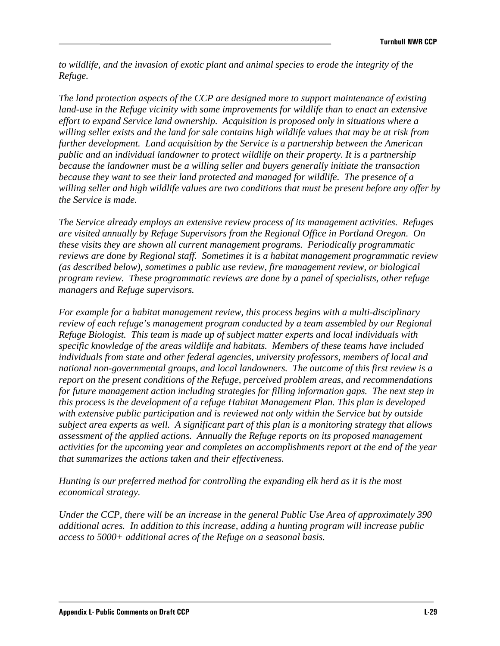*to wildlife, and the invasion of exotic plant and animal species to erode the integrity of the Refuge.* 

*The land protection aspects of the CCP are designed more to support maintenance of existing land-use in the Refuge vicinity with some improvements for wildlife than to enact an extensive effort to expand Service land ownership. Acquisition is proposed only in situations where a willing seller exists and the land for sale contains high wildlife values that may be at risk from further development. Land acquisition by the Service is a partnership between the American public and an individual landowner to protect wildlife on their property. It is a partnership because the landowner must be a willing seller and buyers generally initiate the transaction because they want to see their land protected and managed for wildlife. The presence of a willing seller and high wildlife values are two conditions that must be present before any offer by the Service is made.* 

*The Service already employs an extensive review process of its management activities. Refuges are visited annually by Refuge Supervisors from the Regional Office in Portland Oregon. On these visits they are shown all current management programs. Periodically programmatic reviews are done by Regional staff. Sometimes it is a habitat management programmatic review (as described below), sometimes a public use review, fire management review, or biological program review. These programmatic reviews are done by a panel of specialists, other refuge managers and Refuge supervisors.* 

*For example for a habitat management review, this process begins with a multi-disciplinary review of each refuge's management program conducted by a team assembled by our Regional Refuge Biologist. This team is made up of subject matter experts and local individuals with specific knowledge of the areas wildlife and habitats. Members of these teams have included individuals from state and other federal agencies, university professors, members of local and national non-governmental groups, and local landowners. The outcome of this first review is a report on the present conditions of the Refuge, perceived problem areas, and recommendations for future management action including strategies for filling information gaps. The next step in this process is the development of a refuge Habitat Management Plan. This plan is developed with extensive public participation and is reviewed not only within the Service but by outside subject area experts as well. A significant part of this plan is a monitoring strategy that allows assessment of the applied actions. Annually the Refuge reports on its proposed management activities for the upcoming year and completes an accomplishments report at the end of the year that summarizes the actions taken and their effectiveness.* 

*Hunting is our preferred method for controlling the expanding elk herd as it is the most economical strategy.* 

*Under the CCP, there will be an increase in the general Public Use Area of approximately 390 additional acres. In addition to this increase, adding a hunting program will increase public access to 5000+ additional acres of the Refuge on a seasonal basis.*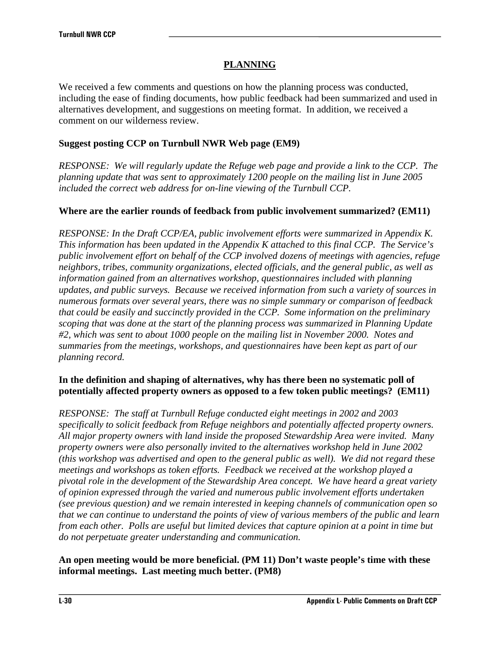# **PLANNING**

We received a few comments and questions on how the planning process was conducted, including the ease of finding documents, how public feedback had been summarized and used in alternatives development, and suggestions on meeting format. In addition, we received a comment on our wilderness review.

### **Suggest posting CCP on Turnbull NWR Web page (EM9)**

*RESPONSE: We will regularly update the Refuge web page and provide a link to the CCP. The planning update that was sent to approximately 1200 people on the mailing list in June 2005 included the correct web address for on-line viewing of the Turnbull CCP.* 

### **Where are the earlier rounds of feedback from public involvement summarized? (EM11)**

*RESPONSE: In the Draft CCP/EA, public involvement efforts were summarized in Appendix K. This information has been updated in the Appendix K attached to this final CCP. The Service's public involvement effort on behalf of the CCP involved dozens of meetings with agencies, refuge neighbors, tribes, community organizations, elected officials, and the general public, as well as information gained from an alternatives workshop, questionnaires included with planning updates, and public surveys. Because we received information from such a variety of sources in numerous formats over several years, there was no simple summary or comparison of feedback that could be easily and succinctly provided in the CCP. Some information on the preliminary scoping that was done at the start of the planning process was summarized in Planning Update #2, which was sent to about 1000 people on the mailing list in November 2000. Notes and summaries from the meetings, workshops, and questionnaires have been kept as part of our planning record.* 

## **In the definition and shaping of alternatives, why has there been no systematic poll of potentially affected property owners as opposed to a few token public meetings? (EM11)**

*RESPONSE: The staff at Turnbull Refuge conducted eight meetings in 2002 and 2003 specifically to solicit feedback from Refuge neighbors and potentially affected property owners. All major property owners with land inside the proposed Stewardship Area were invited. Many property owners were also personally invited to the alternatives workshop held in June 2002 (this workshop was advertised and open to the general public as well). We did not regard these meetings and workshops as token efforts. Feedback we received at the workshop played a pivotal role in the development of the Stewardship Area concept. We have heard a great variety of opinion expressed through the varied and numerous public involvement efforts undertaken (see previous question) and we remain interested in keeping channels of communication open so that we can continue to understand the points of view of various members of the public and learn from each other. Polls are useful but limited devices that capture opinion at a point in time but do not perpetuate greater understanding and communication.* 

## **An open meeting would be more beneficial. (PM 11) Don't waste people's time with these informal meetings. Last meeting much better. (PM8)**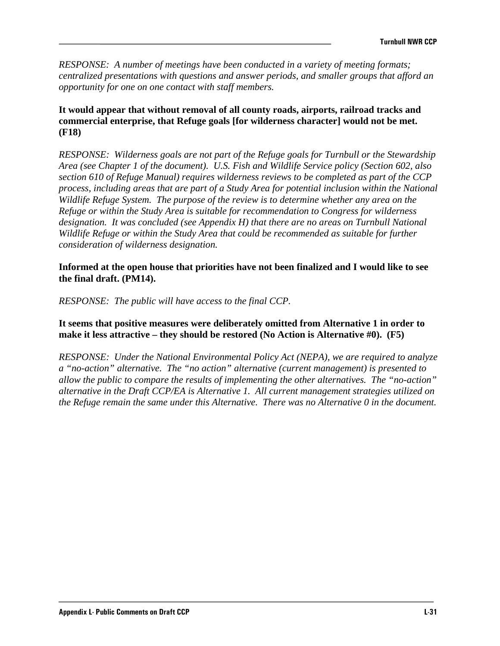*RESPONSE: A number of meetings have been conducted in a variety of meeting formats; centralized presentations with questions and answer periods, and smaller groups that afford an opportunity for one on one contact with staff members.* 

### **It would appear that without removal of all county roads, airports, railroad tracks and commercial enterprise, that Refuge goals [for wilderness character] would not be met. (F18)**

*RESPONSE: Wilderness goals are not part of the Refuge goals for Turnbull or the Stewardship Area (see Chapter 1 of the document). U.S. Fish and Wildlife Service policy (Section 602, also section 610 of Refuge Manual) requires wilderness reviews to be completed as part of the CCP process, including areas that are part of a Study Area for potential inclusion within the National Wildlife Refuge System. The purpose of the review is to determine whether any area on the Refuge or within the Study Area is suitable for recommendation to Congress for wilderness designation. It was concluded (see Appendix H) that there are no areas on Turnbull National Wildlife Refuge or within the Study Area that could be recommended as suitable for further consideration of wilderness designation.* 

#### **Informed at the open house that priorities have not been finalized and I would like to see the final draft. (PM14).**

*RESPONSE: The public will have access to the final CCP.* 

### **It seems that positive measures were deliberately omitted from Alternative 1 in order to make it less attractive – they should be restored (No Action is Alternative #0). (F5)**

*RESPONSE: Under the National Environmental Policy Act (NEPA), we are required to analyze a "no-action" alternative. The "no action" alternative (current management) is presented to allow the public to compare the results of implementing the other alternatives. The "no-action" alternative in the Draft CCP/EA is Alternative 1. All current management strategies utilized on the Refuge remain the same under this Alternative. There was no Alternative 0 in the document.*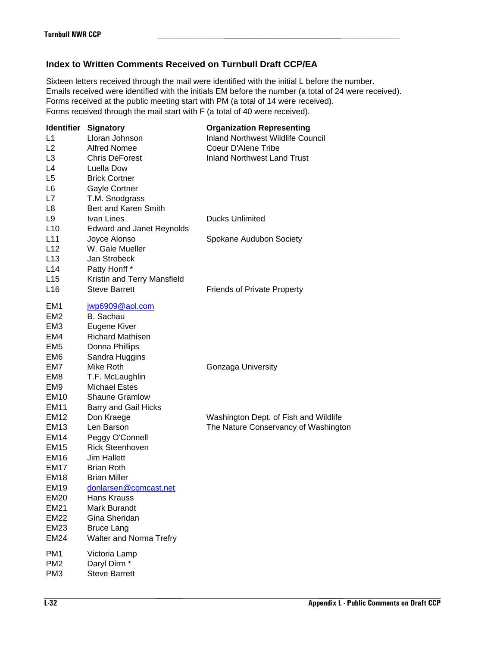## **Index to Written Comments Received on Turnbull Draft CCP/EA**

| <b>Turnbull NWR CCP</b>    |                                                                             |                                                                                                                                                                                                                                                                                               |  |  |
|----------------------------|-----------------------------------------------------------------------------|-----------------------------------------------------------------------------------------------------------------------------------------------------------------------------------------------------------------------------------------------------------------------------------------------|--|--|
|                            | Index to Written Comments Received on Turnbull Draft CCP/EA                 |                                                                                                                                                                                                                                                                                               |  |  |
|                            | Forms received through the mail start with F (a total of 40 were received). | Sixteen letters received through the mail were identified with the initial L before the number.<br>Emails received were identified with the initials EM before the number (a total of 24 were received).<br>Forms received at the public meeting start with PM (a total of 14 were received). |  |  |
|                            | <b>Identifier Signatory</b>                                                 | <b>Organization Representing</b>                                                                                                                                                                                                                                                              |  |  |
| L1                         | Lloran Johnson                                                              | <b>Inland Northwest Wildlife Council</b>                                                                                                                                                                                                                                                      |  |  |
| L2                         | <b>Alfred Nomee</b>                                                         | Coeur D'Alene Tribe                                                                                                                                                                                                                                                                           |  |  |
| L <sub>3</sub><br>L4       | <b>Chris DeForest</b><br>Luella Dow                                         | <b>Inland Northwest Land Trust</b>                                                                                                                                                                                                                                                            |  |  |
| L <sub>5</sub>             | <b>Brick Cortner</b>                                                        |                                                                                                                                                                                                                                                                                               |  |  |
| L <sub>6</sub>             | Gayle Cortner                                                               |                                                                                                                                                                                                                                                                                               |  |  |
| L7                         | T.M. Snodgrass                                                              |                                                                                                                                                                                                                                                                                               |  |  |
| L <sub>8</sub>             | Bert and Karen Smith                                                        |                                                                                                                                                                                                                                                                                               |  |  |
| L <sub>9</sub>             | Ivan Lines                                                                  | <b>Ducks Unlimited</b>                                                                                                                                                                                                                                                                        |  |  |
| L10                        | <b>Edward and Janet Reynolds</b>                                            |                                                                                                                                                                                                                                                                                               |  |  |
| L11                        | Joyce Alonso                                                                | Spokane Audubon Society                                                                                                                                                                                                                                                                       |  |  |
| L12                        | W. Gale Mueller                                                             |                                                                                                                                                                                                                                                                                               |  |  |
| L13<br>L14                 | Jan Strobeck<br>Patty Honff*                                                |                                                                                                                                                                                                                                                                                               |  |  |
| L15                        | Kristin and Terry Mansfield                                                 |                                                                                                                                                                                                                                                                                               |  |  |
| L16                        | <b>Steve Barrett</b>                                                        | <b>Friends of Private Property</b>                                                                                                                                                                                                                                                            |  |  |
| EM <sub>1</sub>            | jwp6909@aol.com                                                             |                                                                                                                                                                                                                                                                                               |  |  |
| EM <sub>2</sub>            | <b>B.</b> Sachau                                                            |                                                                                                                                                                                                                                                                                               |  |  |
| EM <sub>3</sub>            | Eugene Kiver                                                                |                                                                                                                                                                                                                                                                                               |  |  |
| EM4                        | <b>Richard Mathisen</b>                                                     |                                                                                                                                                                                                                                                                                               |  |  |
| EM <sub>5</sub><br>EM6     | Donna Phillips<br>Sandra Huggins                                            |                                                                                                                                                                                                                                                                                               |  |  |
| EM7                        | Mike Roth                                                                   | Gonzaga University                                                                                                                                                                                                                                                                            |  |  |
| EM8                        | T.F. McLaughlin                                                             |                                                                                                                                                                                                                                                                                               |  |  |
| EM <sub>9</sub>            | <b>Michael Estes</b>                                                        |                                                                                                                                                                                                                                                                                               |  |  |
| <b>EM10</b>                | <b>Shaune Gramlow</b>                                                       |                                                                                                                                                                                                                                                                                               |  |  |
| EM11                       | Barry and Gail Hicks                                                        |                                                                                                                                                                                                                                                                                               |  |  |
| <b>EM12</b>                | Don Kraege                                                                  | Washington Dept. of Fish and Wildlife                                                                                                                                                                                                                                                         |  |  |
| <b>EM13</b>                | Len Barson                                                                  | The Nature Conservancy of Washington                                                                                                                                                                                                                                                          |  |  |
| <b>EM14</b><br><b>EM15</b> | Peggy O'Connell<br><b>Rick Steenhoven</b>                                   |                                                                                                                                                                                                                                                                                               |  |  |
| <b>EM16</b>                | <b>Jim Hallett</b>                                                          |                                                                                                                                                                                                                                                                                               |  |  |
| <b>EM17</b>                | <b>Brian Roth</b>                                                           |                                                                                                                                                                                                                                                                                               |  |  |
| <b>EM18</b>                | <b>Brian Miller</b>                                                         |                                                                                                                                                                                                                                                                                               |  |  |
| EM <sub>19</sub>           | donlarsen@comcast.net                                                       |                                                                                                                                                                                                                                                                                               |  |  |
| <b>EM20</b>                | Hans Krauss                                                                 |                                                                                                                                                                                                                                                                                               |  |  |
| <b>EM21</b>                | Mark Burandt                                                                |                                                                                                                                                                                                                                                                                               |  |  |
| <b>EM22</b>                | Gina Sheridan                                                               |                                                                                                                                                                                                                                                                                               |  |  |
| EM23                       | <b>Bruce Lang</b>                                                           |                                                                                                                                                                                                                                                                                               |  |  |
| EM24                       | Walter and Norma Trefry                                                     |                                                                                                                                                                                                                                                                                               |  |  |
| PM <sub>1</sub>            | Victoria Lamp                                                               |                                                                                                                                                                                                                                                                                               |  |  |
| PM <sub>2</sub>            | Daryl Dirm <sup>*</sup>                                                     |                                                                                                                                                                                                                                                                                               |  |  |
| PM <sub>3</sub>            | <b>Steve Barrett</b>                                                        |                                                                                                                                                                                                                                                                                               |  |  |
|                            |                                                                             |                                                                                                                                                                                                                                                                                               |  |  |